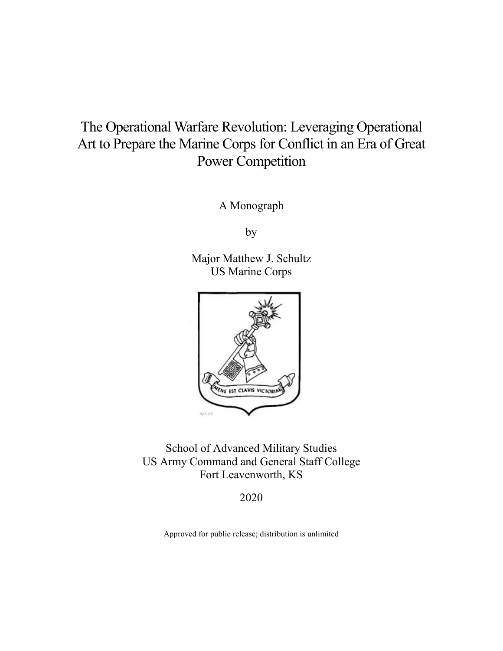# The Operational Warfare Revolution: Leveraging Operational Art to Prepare the Marine Corps for Conflict in an Era of Great Power Competition

A Monograph

by

Major Matthew J. Schultz US Marine Corps



School of Advanced Military Studies US Army Command and General Staff College Fort Leavenworth, KS

2020

Approved for public release; distribution is unlimited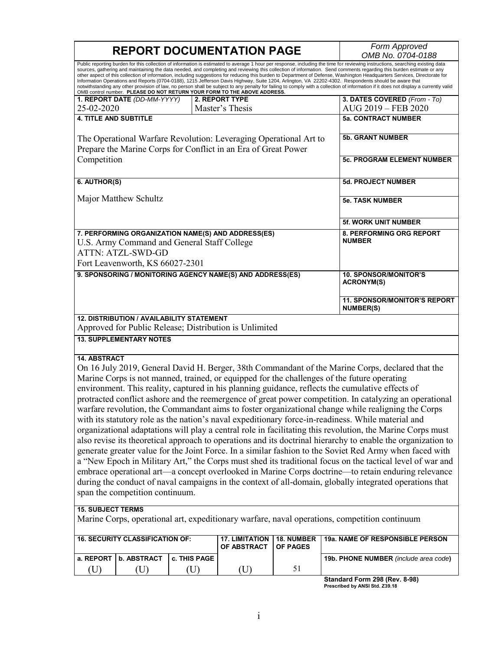|                                                                                                                                                                                                                                                                                                                                                                                                                                                                                                                                                                                                                                                                                                                                                                                                                                                                                                                                                                                                                                                                                                                                                                                                                                                                                                                                                                                         | <b>REPORT DOCUMENTATION PAGE</b>                                                                                                    | Form Approved<br>OMB No. 0704-0188                           |                                                        |                                                   |                                                         |  |  |
|-----------------------------------------------------------------------------------------------------------------------------------------------------------------------------------------------------------------------------------------------------------------------------------------------------------------------------------------------------------------------------------------------------------------------------------------------------------------------------------------------------------------------------------------------------------------------------------------------------------------------------------------------------------------------------------------------------------------------------------------------------------------------------------------------------------------------------------------------------------------------------------------------------------------------------------------------------------------------------------------------------------------------------------------------------------------------------------------------------------------------------------------------------------------------------------------------------------------------------------------------------------------------------------------------------------------------------------------------------------------------------------------|-------------------------------------------------------------------------------------------------------------------------------------|--------------------------------------------------------------|--------------------------------------------------------|---------------------------------------------------|---------------------------------------------------------|--|--|
| Public reporting burden for this collection of information is estimated to average 1 hour per response, including the time for reviewing instructions, searching existing data<br>sources, gathering and maintaining the data needed, and completing and reviewing this collection of information. Send comments regarding this burden estimate or any<br>other aspect of this collection of information, including suggestions for reducing this burden to Department of Defense, Washington Headquarters Services, Directorate for<br>Information Operations and Reports (0704-0188), 1215 Jefferson Davis Highway, Suite 1204, Arlington, VA 22202-4302. Respondents should be aware that<br>notwithstanding any other provision of law, no person shall be subject to any penalty for failing to comply with a collection of information if it does not display a currently valid<br>OMB control number. PLEASE DO NOT RETURN YOUR FORM TO THE ABOVE ADDRESS.                                                                                                                                                                                                                                                                                                                                                                                                                       |                                                                                                                                     |                                                              |                                                        |                                                   |                                                         |  |  |
|                                                                                                                                                                                                                                                                                                                                                                                                                                                                                                                                                                                                                                                                                                                                                                                                                                                                                                                                                                                                                                                                                                                                                                                                                                                                                                                                                                                         | 1. REPORT DATE (DD-MM-YYYY)                                                                                                         |                                                              | 2. REPORT TYPE                                         |                                                   | 3. DATES COVERED (From - To)                            |  |  |
| 25-02-2020                                                                                                                                                                                                                                                                                                                                                                                                                                                                                                                                                                                                                                                                                                                                                                                                                                                                                                                                                                                                                                                                                                                                                                                                                                                                                                                                                                              |                                                                                                                                     |                                                              | Master's Thesis                                        |                                                   | AUG 2019 - FEB 2020                                     |  |  |
| <b>4. TITLE AND SUBTITLE</b>                                                                                                                                                                                                                                                                                                                                                                                                                                                                                                                                                                                                                                                                                                                                                                                                                                                                                                                                                                                                                                                                                                                                                                                                                                                                                                                                                            |                                                                                                                                     |                                                              |                                                        |                                                   | <b>5a. CONTRACT NUMBER</b>                              |  |  |
| Competition                                                                                                                                                                                                                                                                                                                                                                                                                                                                                                                                                                                                                                                                                                                                                                                                                                                                                                                                                                                                                                                                                                                                                                                                                                                                                                                                                                             | The Operational Warfare Revolution: Leveraging Operational Art to<br>Prepare the Marine Corps for Conflict in an Era of Great Power | <b>5b. GRANT NUMBER</b><br><b>5c. PROGRAM ELEMENT NUMBER</b> |                                                        |                                                   |                                                         |  |  |
|                                                                                                                                                                                                                                                                                                                                                                                                                                                                                                                                                                                                                                                                                                                                                                                                                                                                                                                                                                                                                                                                                                                                                                                                                                                                                                                                                                                         |                                                                                                                                     |                                                              |                                                        |                                                   |                                                         |  |  |
| 6. AUTHOR(S)                                                                                                                                                                                                                                                                                                                                                                                                                                                                                                                                                                                                                                                                                                                                                                                                                                                                                                                                                                                                                                                                                                                                                                                                                                                                                                                                                                            |                                                                                                                                     |                                                              |                                                        |                                                   | 5d. PROJECT NUMBER                                      |  |  |
|                                                                                                                                                                                                                                                                                                                                                                                                                                                                                                                                                                                                                                                                                                                                                                                                                                                                                                                                                                                                                                                                                                                                                                                                                                                                                                                                                                                         | Major Matthew Schultz                                                                                                               | <b>5e. TASK NUMBER</b>                                       |                                                        |                                                   |                                                         |  |  |
|                                                                                                                                                                                                                                                                                                                                                                                                                                                                                                                                                                                                                                                                                                                                                                                                                                                                                                                                                                                                                                                                                                                                                                                                                                                                                                                                                                                         |                                                                                                                                     |                                                              |                                                        |                                                   | <b>5f. WORK UNIT NUMBER</b>                             |  |  |
| 7. PERFORMING ORGANIZATION NAME(S) AND ADDRESS(ES)<br>U.S. Army Command and General Staff College<br>ATTN: ATZL-SWD-GD                                                                                                                                                                                                                                                                                                                                                                                                                                                                                                                                                                                                                                                                                                                                                                                                                                                                                                                                                                                                                                                                                                                                                                                                                                                                  |                                                                                                                                     |                                                              |                                                        |                                                   | 8. PERFORMING ORG REPORT<br><b>NUMBER</b>               |  |  |
| Fort Leavenworth, KS 66027-2301<br>9. SPONSORING / MONITORING AGENCY NAME(S) AND ADDRESS(ES)                                                                                                                                                                                                                                                                                                                                                                                                                                                                                                                                                                                                                                                                                                                                                                                                                                                                                                                                                                                                                                                                                                                                                                                                                                                                                            |                                                                                                                                     |                                                              |                                                        | <b>10. SPONSOR/MONITOR'S</b><br><b>ACRONYM(S)</b> |                                                         |  |  |
|                                                                                                                                                                                                                                                                                                                                                                                                                                                                                                                                                                                                                                                                                                                                                                                                                                                                                                                                                                                                                                                                                                                                                                                                                                                                                                                                                                                         |                                                                                                                                     |                                                              |                                                        |                                                   | <b>11. SPONSOR/MONITOR'S REPORT</b><br><b>NUMBER(S)</b> |  |  |
|                                                                                                                                                                                                                                                                                                                                                                                                                                                                                                                                                                                                                                                                                                                                                                                                                                                                                                                                                                                                                                                                                                                                                                                                                                                                                                                                                                                         | <b>12. DISTRIBUTION / AVAILABILITY STATEMENT</b>                                                                                    |                                                              | Approved for Public Release; Distribution is Unlimited |                                                   |                                                         |  |  |
|                                                                                                                                                                                                                                                                                                                                                                                                                                                                                                                                                                                                                                                                                                                                                                                                                                                                                                                                                                                                                                                                                                                                                                                                                                                                                                                                                                                         | <b>13. SUPPLEMENTARY NOTES</b>                                                                                                      |                                                              |                                                        |                                                   |                                                         |  |  |
| <b>14. ABSTRACT</b><br>On 16 July 2019, General David H. Berger, 38th Commandant of the Marine Corps, declared that the<br>Marine Corps is not manned, trained, or equipped for the challenges of the future operating<br>environment. This reality, captured in his planning guidance, reflects the cumulative effects of<br>protracted conflict ashore and the reemergence of great power competition. In catalyzing an operational<br>warfare revolution, the Commandant aims to foster organizational change while realigning the Corps<br>with its statutory role as the nation's naval expeditionary force-in-readiness. While material and<br>organizational adaptations will play a central role in facilitating this revolution, the Marine Corps must<br>also revise its theoretical approach to operations and its doctrinal hierarchy to enable the organization to<br>generate greater value for the Joint Force. In a similar fashion to the Soviet Red Army when faced with<br>a "New Epoch in Military Art," the Corps must shed its traditional focus on the tactical level of war and<br>embrace operational art—a concept overlooked in Marine Corps doctrine—to retain enduring relevance<br>during the conduct of naval campaigns in the context of all-domain, globally integrated operations that<br>span the competition continuum.<br><b>15. SUBJECT TERMS</b> |                                                                                                                                     |                                                              |                                                        |                                                   |                                                         |  |  |
| Marine Corps, operational art, expeditionary warfare, naval operations, competition continuum                                                                                                                                                                                                                                                                                                                                                                                                                                                                                                                                                                                                                                                                                                                                                                                                                                                                                                                                                                                                                                                                                                                                                                                                                                                                                           |                                                                                                                                     |                                                              |                                                        |                                                   |                                                         |  |  |
| <b>16. SECURITY CLASSIFICATION OF:</b>                                                                                                                                                                                                                                                                                                                                                                                                                                                                                                                                                                                                                                                                                                                                                                                                                                                                                                                                                                                                                                                                                                                                                                                                                                                                                                                                                  |                                                                                                                                     |                                                              | <b>17. LIMITATION</b><br>OF ABSTRACT                   | 18. NUMBER<br>OF PAGES                            | 19a. NAME OF RESPONSIBLE PERSON                         |  |  |
| a. REPORT                                                                                                                                                                                                                                                                                                                                                                                                                                                                                                                                                                                                                                                                                                                                                                                                                                                                                                                                                                                                                                                                                                                                                                                                                                                                                                                                                                               | <b>b. ABSTRACT</b>                                                                                                                  | c. THIS PAGE                                                 |                                                        |                                                   | 19b. PHONE NUMBER (include area code)                   |  |  |
| (U)                                                                                                                                                                                                                                                                                                                                                                                                                                                                                                                                                                                                                                                                                                                                                                                                                                                                                                                                                                                                                                                                                                                                                                                                                                                                                                                                                                                     | (U)                                                                                                                                 | (U)                                                          | (U)                                                    | 51                                                |                                                         |  |  |

**Standard Form 298 (Rev. 8-98) Prescribed by ANSI Std. Z39.18**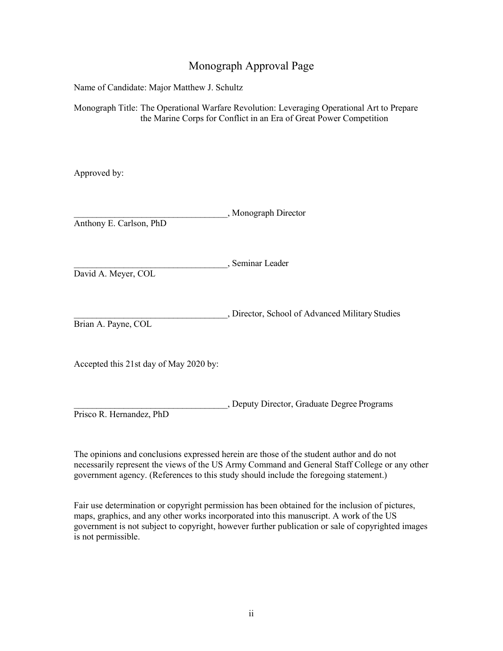# Monograph Approval Page

Name of Candidate: Major Matthew J. Schultz

Monograph Title: The Operational Warfare Revolution: Leveraging Operational Art to Prepare the Marine Corps for Conflict in an Era of Great Power Competition

Approved by:

| Anthony E. Carlson, PhD                | , Monograph Director                            |
|----------------------------------------|-------------------------------------------------|
| David A. Meyer, COL                    | , Seminar Leader                                |
| Brian A. Payne, COL                    | , Director, School of Advanced Military Studies |
| Accepted this 21st day of May 2020 by: |                                                 |
|                                        | , Deputy Director, Graduate Degree Programs     |

Prisco R. Hernandez, PhD

The opinions and conclusions expressed herein are those of the student author and do not necessarily represent the views of the US Army Command and General Staff College or any other government agency. (References to this study should include the foregoing statement.)

Fair use determination or copyright permission has been obtained for the inclusion of pictures, maps, graphics, and any other works incorporated into this manuscript. A work of the US government is not subject to copyright, however further publication or sale of copyrighted images is not permissible.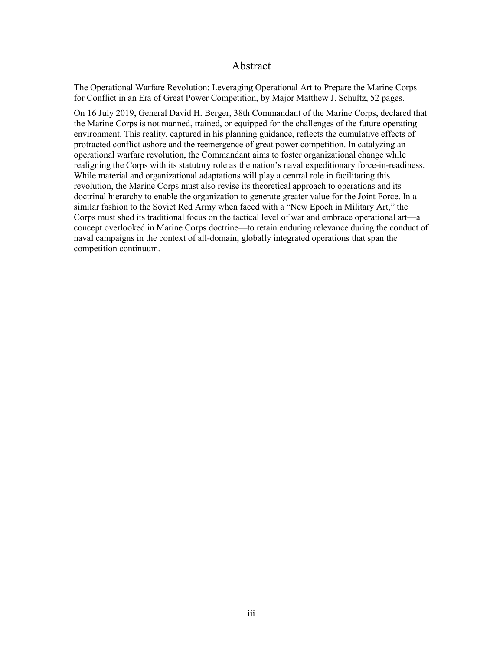#### Abstract

The Operational Warfare Revolution: Leveraging Operational Art to Prepare the Marine Corps for Conflict in an Era of Great Power Competition, by Major Matthew J. Schultz, 52 pages.

On 16 July 2019, General David H. Berger, 38th Commandant of the Marine Corps, declared that the Marine Corps is not manned, trained, or equipped for the challenges of the future operating environment. This reality, captured in his planning guidance, reflects the cumulative effects of protracted conflict ashore and the reemergence of great power competition. In catalyzing an operational warfare revolution, the Commandant aims to foster organizational change while realigning the Corps with its statutory role as the nation's naval expeditionary force-in-readiness. While material and organizational adaptations will play a central role in facilitating this revolution, the Marine Corps must also revise its theoretical approach to operations and its doctrinal hierarchy to enable the organization to generate greater value for the Joint Force. In a similar fashion to the Soviet Red Army when faced with a "New Epoch in Military Art," the Corps must shed its traditional focus on the tactical level of war and embrace operational art—a concept overlooked in Marine Corps doctrine—to retain enduring relevance during the conduct of naval campaigns in the context of all-domain, globally integrated operations that span the competition continuum.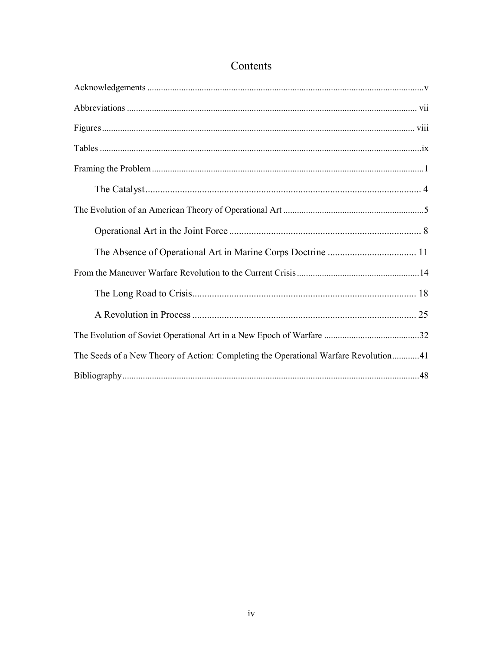| The Seeds of a New Theory of Action: Completing the Operational Warfare Revolution41 |
|--------------------------------------------------------------------------------------|
|                                                                                      |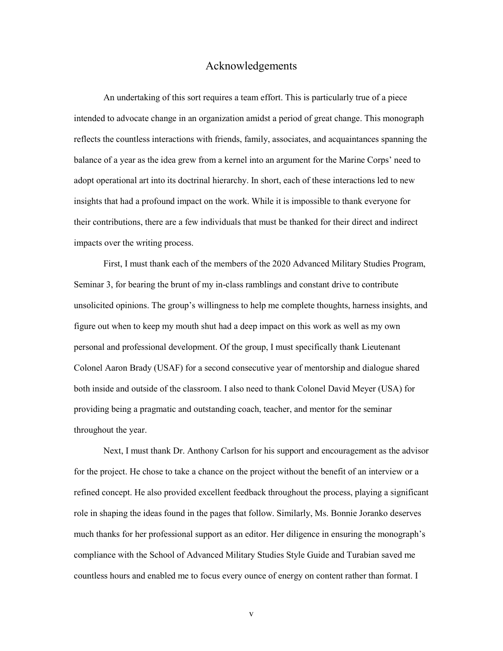#### Acknowledgements

<span id="page-5-0"></span>An undertaking of this sort requires a team effort. This is particularly true of a piece intended to advocate change in an organization amidst a period of great change. This monograph reflects the countless interactions with friends, family, associates, and acquaintances spanning the balance of a year as the idea grew from a kernel into an argument for the Marine Corps' need to adopt operational art into its doctrinal hierarchy. In short, each of these interactions led to new insights that had a profound impact on the work. While it is impossible to thank everyone for their contributions, there are a few individuals that must be thanked for their direct and indirect impacts over the writing process.

First, I must thank each of the members of the 2020 Advanced Military Studies Program, Seminar 3, for bearing the brunt of my in-class ramblings and constant drive to contribute unsolicited opinions. The group's willingness to help me complete thoughts, harness insights, and figure out when to keep my mouth shut had a deep impact on this work as well as my own personal and professional development. Of the group, I must specifically thank Lieutenant Colonel Aaron Brady (USAF) for a second consecutive year of mentorship and dialogue shared both inside and outside of the classroom. I also need to thank Colonel David Meyer (USA) for providing being a pragmatic and outstanding coach, teacher, and mentor for the seminar throughout the year.

Next, I must thank Dr. Anthony Carlson for his support and encouragement as the advisor for the project. He chose to take a chance on the project without the benefit of an interview or a refined concept. He also provided excellent feedback throughout the process, playing a significant role in shaping the ideas found in the pages that follow. Similarly, Ms. Bonnie Joranko deserves much thanks for her professional support as an editor. Her diligence in ensuring the monograph's compliance with the School of Advanced Military Studies Style Guide and Turabian saved me countless hours and enabled me to focus every ounce of energy on content rather than format. I

v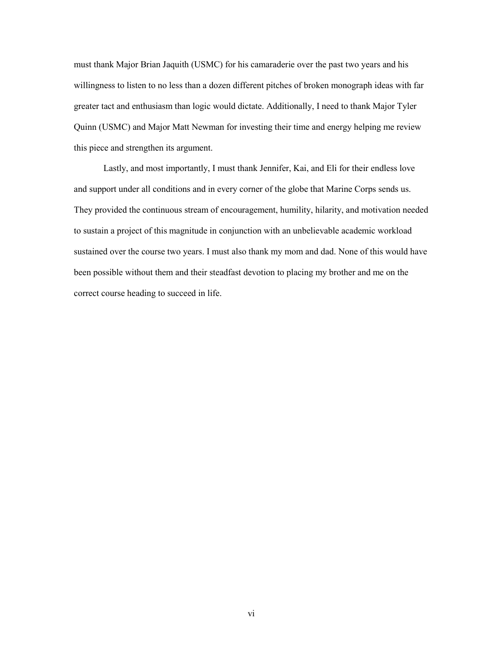must thank Major Brian Jaquith (USMC) for his camaraderie over the past two years and his willingness to listen to no less than a dozen different pitches of broken monograph ideas with far greater tact and enthusiasm than logic would dictate. Additionally, I need to thank Major Tyler Quinn (USMC) and Major Matt Newman for investing their time and energy helping me review this piece and strengthen its argument.

Lastly, and most importantly, I must thank Jennifer, Kai, and Eli for their endless love and support under all conditions and in every corner of the globe that Marine Corps sends us. They provided the continuous stream of encouragement, humility, hilarity, and motivation needed to sustain a project of this magnitude in conjunction with an unbelievable academic workload sustained over the course two years. I must also thank my mom and dad. None of this would have been possible without them and their steadfast devotion to placing my brother and me on the correct course heading to succeed in life.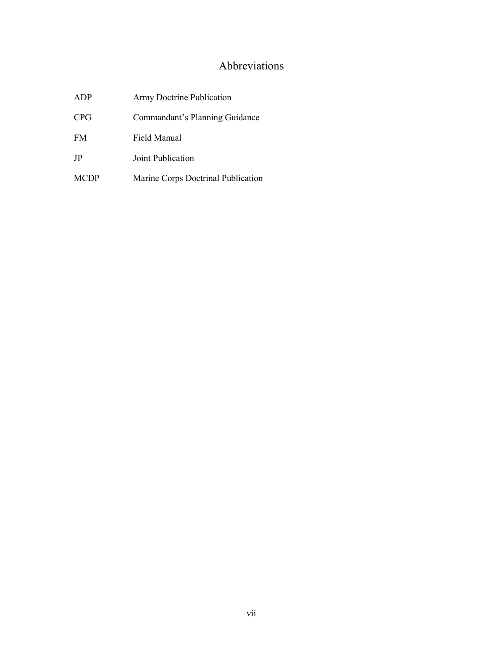# Abbreviations

<span id="page-7-0"></span>

| ADP         | Army Doctrine Publication          |
|-------------|------------------------------------|
| CPG         | Commandant's Planning Guidance     |
| <b>FM</b>   | Field Manual                       |
| JP          | Joint Publication                  |
| <b>MCDP</b> | Marine Corps Doctrinal Publication |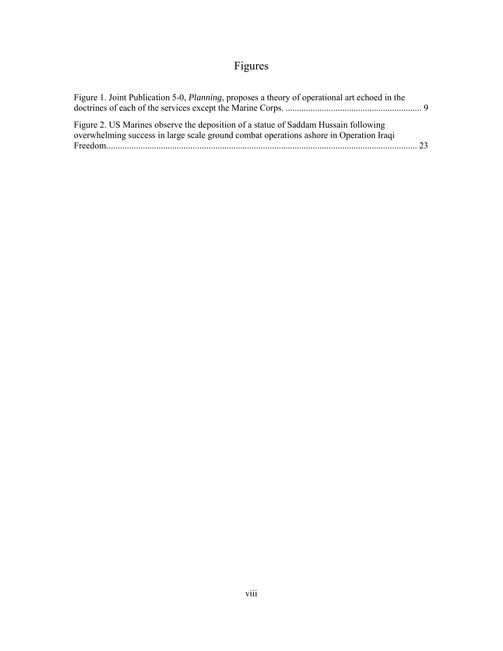# Figures

<span id="page-8-0"></span>

| Figure 1. Joint Publication 5-0, <i>Planning</i> , proposes a theory of operational art echoed in the |  |
|-------------------------------------------------------------------------------------------------------|--|
| Figure 2. US Marines observe the deposition of a statue of Saddam Hussain following                   |  |
| overwhelming success in large scale ground combat operations ashore in Operation Iraqi                |  |
|                                                                                                       |  |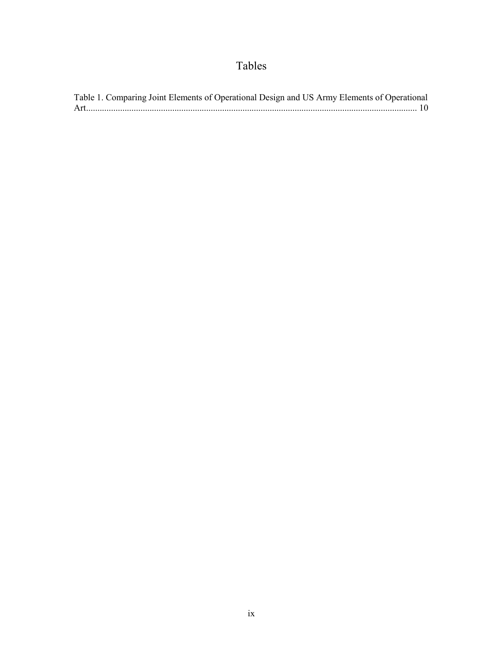# Tables

<span id="page-9-0"></span>

| Table 1. Comparing Joint Elements of Operational Design and US Army Elements of Operational |  |
|---------------------------------------------------------------------------------------------|--|
|                                                                                             |  |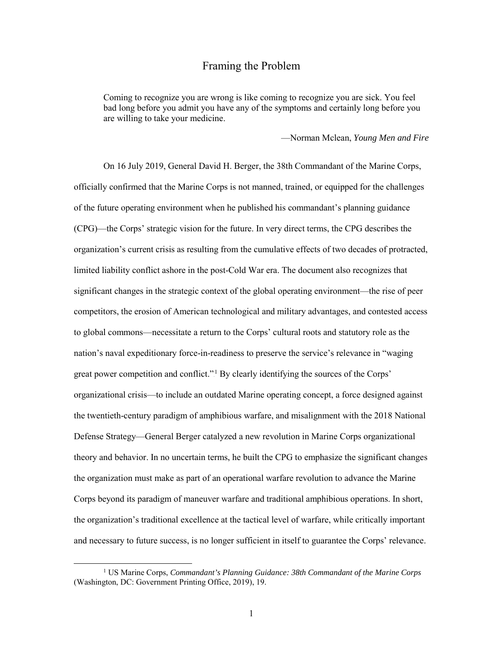### Framing the Problem

<span id="page-10-0"></span>Coming to recognize you are wrong is like coming to recognize you are sick. You feel bad long before you admit you have any of the symptoms and certainly long before you are willing to take your medicine.

—Norman Mclean, *Young Men and Fire*

On 16 July 2019, General David H. Berger, the 38th Commandant of the Marine Corps, officially confirmed that the Marine Corps is not manned, trained, or equipped for the challenges of the future operating environment when he published his commandant's planning guidance (CPG)—the Corps' strategic vision for the future. In very direct terms, the CPG describes the organization's current crisis as resulting from the cumulative effects of two decades of protracted, limited liability conflict ashore in the post-Cold War era. The document also recognizes that significant changes in the strategic context of the global operating environment—the rise of peer competitors, the erosion of American technological and military advantages, and contested access to global commons—necessitate a return to the Corps' cultural roots and statutory role as the nation's naval expeditionary force-in-readiness to preserve the service's relevance in "waging great power competition and conflict."<sup>1</sup> By clearly identifying the sources of the Corps' organizational crisis—to include an outdated Marine operating concept, a force designed against the twentieth-century paradigm of amphibious warfare, and misalignment with the 2018 National Defense Strategy—General Berger catalyzed a new revolution in Marine Corps organizational theory and behavior. In no uncertain terms, he built the CPG to emphasize the significant changes the organization must make as part of an operational warfare revolution to advance the Marine Corps beyond its paradigm of maneuver warfare and traditional amphibious operations. In short, the organization's traditional excellence at the tactical level of warfare, while critically important and necessary to future success, is no longer sufficient in itself to guarantee the Corps' relevance.

 <sup>1</sup> US Marine Corps, *Commandant's Planning Guidance: 38th Commandant of the Marine Corps* (Washington, DC: Government Printing Office, 2019), 19.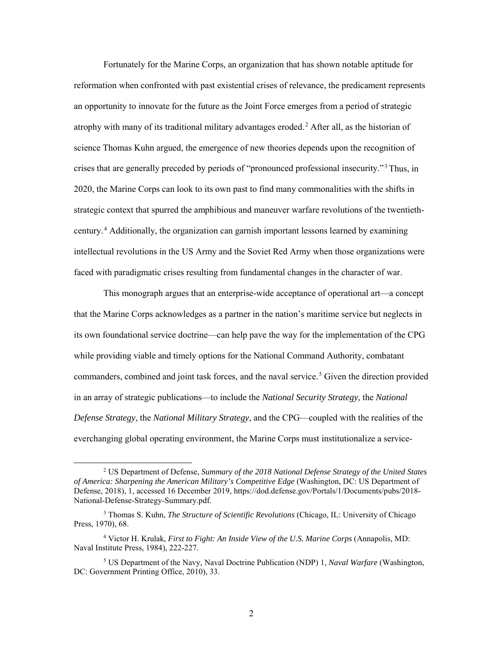Fortunately for the Marine Corps, an organization that has shown notable aptitude for reformation when confronted with past existential crises of relevance, the predicament represents an opportunity to innovate for the future as the Joint Force emerges from a period of strategic atrophy with many of its traditional military advantages eroded.<sup>2</sup> After all, as the historian of science Thomas Kuhn argued, the emergence of new theories depends upon the recognition of crises that are generally preceded by periods of "pronounced professional insecurity."<sup>3</sup> Thus, in 2020, the Marine Corps can look to its own past to find many commonalities with the shifts in strategic context that spurred the amphibious and maneuver warfare revolutions of the twentiethcentury.<sup>4</sup> Additionally, the organization can garnish important lessons learned by examining intellectual revolutions in the US Army and the Soviet Red Army when those organizations were faced with paradigmatic crises resulting from fundamental changes in the character of war.

This monograph argues that an enterprise-wide acceptance of operational art—a concept that the Marine Corps acknowledges as a partner in the nation's maritime service but neglects in its own foundational service doctrine—can help pave the way for the implementation of the CPG while providing viable and timely options for the National Command Authority, combatant commanders, combined and joint task forces, and the naval service.<sup>5</sup> Given the direction provided in an array of strategic publications—to include the *National Security Strategy*, the *National Defense Strategy*, the *National Military Strategy*, and the CPG—coupled with the realities of the everchanging global operating environment, the Marine Corps must institutionalize a service-

 <sup>2</sup> US Department of Defense, *Summary of the 2018 National Defense Strategy of the United States of America: Sharpening the American Military's Competitive Edge* (Washington, DC: US Department of Defense, 2018), 1, accessed 16 December 2019, https://dod.defense.gov/Portals/1/Documents/pubs/2018- National-Defense-Strategy-Summary.pdf.

<sup>3</sup> Thomas S. Kuhn, *The Structure of Scientific Revolutions* (Chicago, IL: University of Chicago Press, 1970), 68.

<sup>4</sup> Victor H. Krulak, *First to Fight: An Inside View of the U.S. Marine Corps* (Annapolis, MD: Naval Institute Press, 1984), 222-227.

<sup>5</sup> US Department of the Navy, Naval Doctrine Publication (NDP) 1, *Naval Warfare* (Washington, DC: Government Printing Office, 2010), 33.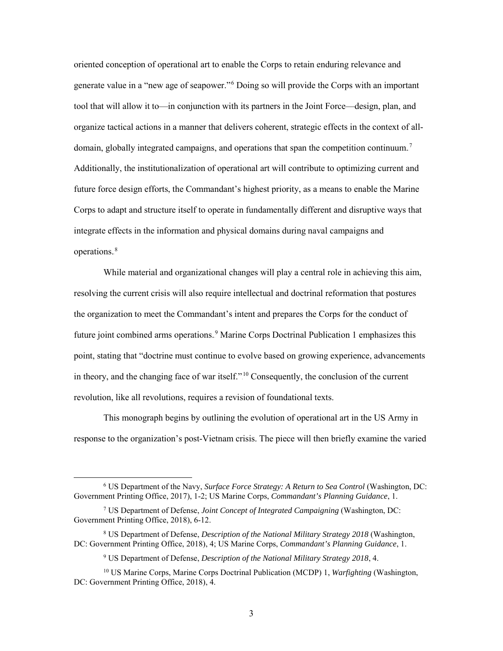oriented conception of operational art to enable the Corps to retain enduring relevance and generate value in a "new age of seapower."<sup>6</sup> Doing so will provide the Corps with an important tool that will allow it to—in conjunction with its partners in the Joint Force—design, plan, and organize tactical actions in a manner that delivers coherent, strategic effects in the context of alldomain, globally integrated campaigns, and operations that span the competition continuum.<sup>7</sup> Additionally, the institutionalization of operational art will contribute to optimizing current and future force design efforts, the Commandant's highest priority, as a means to enable the Marine Corps to adapt and structure itself to operate in fundamentally different and disruptive ways that integrate effects in the information and physical domains during naval campaigns and operations.<sup>8</sup>

While material and organizational changes will play a central role in achieving this aim, resolving the current crisis will also require intellectual and doctrinal reformation that postures the organization to meet the Commandant's intent and prepares the Corps for the conduct of future joint combined arms operations.<sup>9</sup> Marine Corps Doctrinal Publication 1 emphasizes this point, stating that "doctrine must continue to evolve based on growing experience, advancements in theory, and the changing face of war itself."<sup>10</sup> Consequently, the conclusion of the current revolution, like all revolutions, requires a revision of foundational texts.

This monograph begins by outlining the evolution of operational art in the US Army in response to the organization's post-Vietnam crisis. The piece will then briefly examine the varied

 <sup>6</sup> US Department of the Navy, *Surface Force Strategy: A Return to Sea Control* (Washington, DC: Government Printing Office, 2017), 1-2; US Marine Corps, *Commandant's Planning Guidance*, 1.

<sup>7</sup> US Department of Defense, *Joint Concept of Integrated Campaigning* (Washington, DC: Government Printing Office, 2018), 6-12.

<sup>8</sup> US Department of Defense, *Description of the National Military Strategy 2018* (Washington, DC: Government Printing Office, 2018), 4; US Marine Corps, *Commandant's Planning Guidance*, 1.

<sup>9</sup> US Department of Defense, *Description of the National Military Strategy 2018*, 4.

<sup>10</sup> US Marine Corps, Marine Corps Doctrinal Publication (MCDP) 1, *Warfighting* (Washington, DC: Government Printing Office, 2018), 4.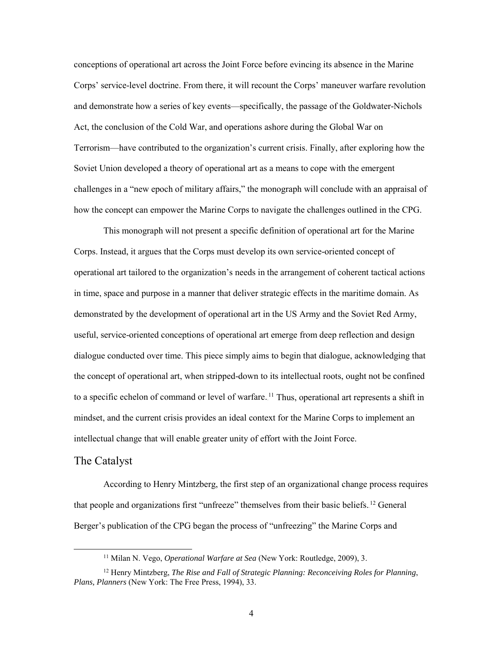conceptions of operational art across the Joint Force before evincing its absence in the Marine Corps' service-level doctrine. From there, it will recount the Corps' maneuver warfare revolution and demonstrate how a series of key events—specifically, the passage of the Goldwater-Nichols Act, the conclusion of the Cold War, and operations ashore during the Global War on Terrorism—have contributed to the organization's current crisis. Finally, after exploring how the Soviet Union developed a theory of operational art as a means to cope with the emergent challenges in a "new epoch of military affairs," the monograph will conclude with an appraisal of how the concept can empower the Marine Corps to navigate the challenges outlined in the CPG.

This monograph will not present a specific definition of operational art for the Marine Corps. Instead, it argues that the Corps must develop its own service-oriented concept of operational art tailored to the organization's needs in the arrangement of coherent tactical actions in time, space and purpose in a manner that deliver strategic effects in the maritime domain. As demonstrated by the development of operational art in the US Army and the Soviet Red Army, useful, service-oriented conceptions of operational art emerge from deep reflection and design dialogue conducted over time. This piece simply aims to begin that dialogue, acknowledging that the concept of operational art, when stripped-down to its intellectual roots, ought not be confined to a specific echelon of command or level of warfare. <sup>11</sup> Thus, operational art represents a shift in mindset, and the current crisis provides an ideal context for the Marine Corps to implement an intellectual change that will enable greater unity of effort with the Joint Force.

#### <span id="page-13-0"></span>The Catalyst

According to Henry Mintzberg, the first step of an organizational change process requires that people and organizations first "unfreeze" themselves from their basic beliefs.<sup>12</sup> General Berger's publication of the CPG began the process of "unfreezing" the Marine Corps and

 <sup>11</sup> Milan N. Vego, *Operational Warfare at Sea* (New York: Routledge, 2009), 3.

<sup>12</sup> Henry Mintzberg, *The Rise and Fall of Strategic Planning: Reconceiving Roles for Planning*, *Plans, Planners* (New York: The Free Press, 1994), 33.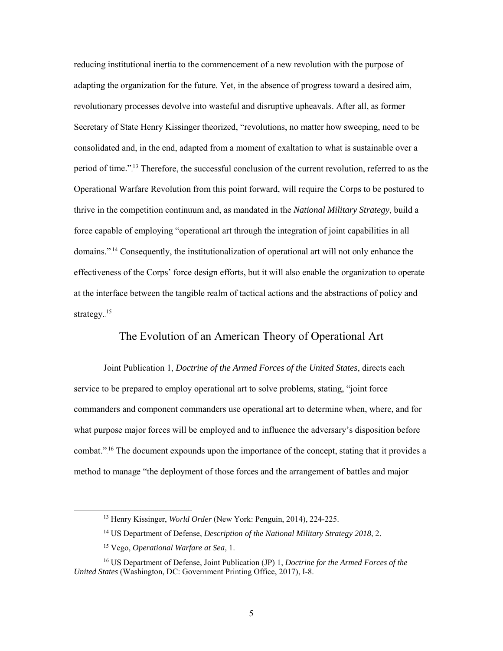reducing institutional inertia to the commencement of a new revolution with the purpose of adapting the organization for the future. Yet, in the absence of progress toward a desired aim, revolutionary processes devolve into wasteful and disruptive upheavals. After all, as former Secretary of State Henry Kissinger theorized, "revolutions, no matter how sweeping, need to be consolidated and, in the end, adapted from a moment of exaltation to what is sustainable over a period of time."<sup>13</sup> Therefore, the successful conclusion of the current revolution, referred to as the Operational Warfare Revolution from this point forward, will require the Corps to be postured to thrive in the competition continuum and, as mandated in the *National Military Strategy*, build a force capable of employing "operational art through the integration of joint capabilities in all domains."<sup>14</sup> Consequently, the institutionalization of operational art will not only enhance the effectiveness of the Corps' force design efforts, but it will also enable the organization to operate at the interface between the tangible realm of tactical actions and the abstractions of policy and strategy.<sup>15</sup>

# The Evolution of an American Theory of Operational Art

<span id="page-14-0"></span>Joint Publication 1, *Doctrine of the Armed Forces of the United States*, directs each service to be prepared to employ operational art to solve problems, stating, "joint force commanders and component commanders use operational art to determine when, where, and for what purpose major forces will be employed and to influence the adversary's disposition before combat."<sup>16</sup> The document expounds upon the importance of the concept, stating that it provides a method to manage "the deployment of those forces and the arrangement of battles and major

 <sup>13</sup> Henry Kissinger, *World Order* (New York: Penguin, 2014), 224-225.

<sup>14</sup> US Department of Defense, *Description of the National Military Strategy 2018*, 2.

<sup>15</sup> Vego, *Operational Warfare at Sea*, 1.

<sup>16</sup> US Department of Defense, Joint Publication (JP) 1, *Doctrine for the Armed Forces of the United States* (Washington, DC: Government Printing Office, 2017), I-8.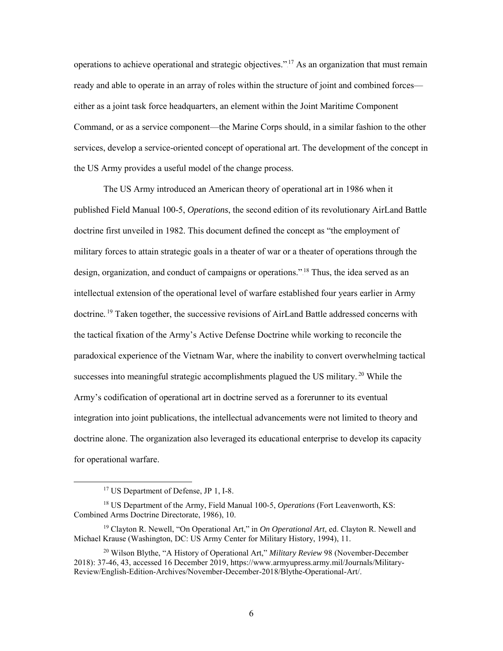operations to achieve operational and strategic objectives."<sup>17</sup> As an organization that must remain ready and able to operate in an array of roles within the structure of joint and combined forces either as a joint task force headquarters, an element within the Joint Maritime Component Command, or as a service component—the Marine Corps should, in a similar fashion to the other services, develop a service-oriented concept of operational art. The development of the concept in the US Army provides a useful model of the change process.

The US Army introduced an American theory of operational art in 1986 when it published Field Manual 100-5, *Operations*, the second edition of its revolutionary AirLand Battle doctrine first unveiled in 1982. This document defined the concept as "the employment of military forces to attain strategic goals in a theater of war or a theater of operations through the design, organization, and conduct of campaigns or operations."<sup>18</sup> Thus, the idea served as an intellectual extension of the operational level of warfare established four years earlier in Army doctrine.<sup>19</sup> Taken together, the successive revisions of AirLand Battle addressed concerns with the tactical fixation of the Army's Active Defense Doctrine while working to reconcile the paradoxical experience of the Vietnam War, where the inability to convert overwhelming tactical successes into meaningful strategic accomplishments plagued the US military.<sup>20</sup> While the Army's codification of operational art in doctrine served as a forerunner to its eventual integration into joint publications, the intellectual advancements were not limited to theory and doctrine alone. The organization also leveraged its educational enterprise to develop its capacity for operational warfare.

 <sup>17</sup> US Department of Defense, JP 1, I-8.

<sup>18</sup> US Department of the Army, Field Manual 100-5, *Operations* (Fort Leavenworth, KS: Combined Arms Doctrine Directorate, 1986), 10.

<sup>19</sup> Clayton R. Newell, "On Operational Art," in *On Operational Art*, ed. Clayton R. Newell and Michael Krause (Washington, DC: US Army Center for Military History, 1994), 11.

<sup>20</sup> Wilson Blythe, "A History of Operational Art," *Military Review* 98 (November-December 2018): 37-46, 43, accessed 16 December 2019[, https://www.armyupress.army.mil/Journals/Military-](https://www.armyupress.army.mil/Journals/Military-Review/English-Edition-Archives/November-December-2018/Blythe-Operational-Art/)[Review/English-Edition-Archives/November-December-2018/Blythe-Operational-Art/.](https://www.armyupress.army.mil/Journals/Military-Review/English-Edition-Archives/November-December-2018/Blythe-Operational-Art/)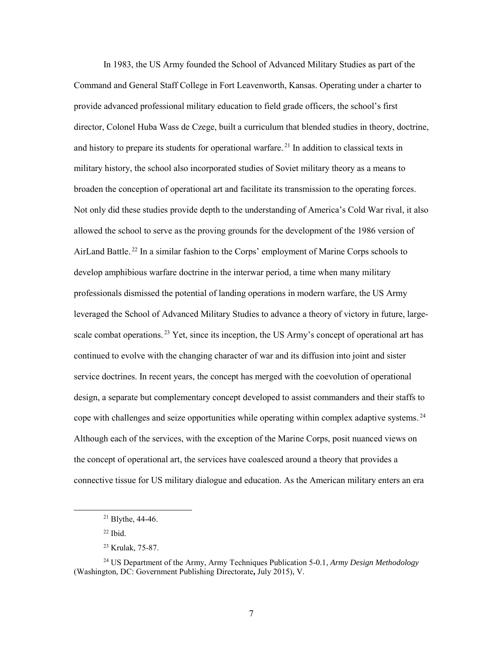In 1983, the US Army founded the School of Advanced Military Studies as part of the Command and General Staff College in Fort Leavenworth, Kansas. Operating under a charter to provide advanced professional military education to field grade officers, the school's first director, Colonel Huba Wass de Czege, built a curriculum that blended studies in theory, doctrine, and history to prepare its students for operational warfare.<sup>21</sup> In addition to classical texts in military history, the school also incorporated studies of Soviet military theory as a means to broaden the conception of operational art and facilitate its transmission to the operating forces. Not only did these studies provide depth to the understanding of America's Cold War rival, it also allowed the school to serve as the proving grounds for the development of the 1986 version of AirLand Battle.<sup>22</sup> In a similar fashion to the Corps' employment of Marine Corps schools to develop amphibious warfare doctrine in the interwar period, a time when many military professionals dismissed the potential of landing operations in modern warfare, the US Army leveraged the School of Advanced Military Studies to advance a theory of victory in future, largescale combat operations.<sup>23</sup> Yet, since its inception, the US Army's concept of operational art has continued to evolve with the changing character of war and its diffusion into joint and sister service doctrines. In recent years, the concept has merged with the coevolution of operational design, a separate but complementary concept developed to assist commanders and their staffs to cope with challenges and seize opportunities while operating within complex adaptive systems.<sup>24</sup> Although each of the services, with the exception of the Marine Corps, posit nuanced views on the concept of operational art, the services have coalesced around a theory that provides a connective tissue for US military dialogue and education. As the American military enters an era

 $22$  Ibid.

 <sup>21</sup> Blythe, 44-46.

<sup>23</sup> Krulak, 75-87.

<sup>24</sup> US Department of the Army, Army Techniques Publication 5-0.1, *Army Design Methodology* (Washington, DC: Government Publishing Directorate**,** July 2015), V.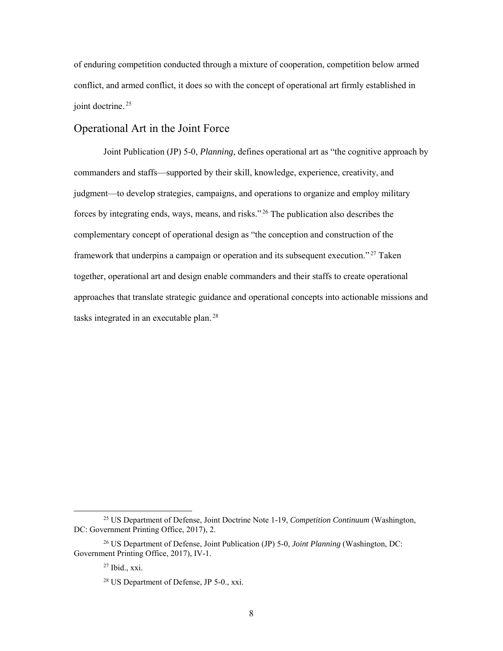of enduring competition conducted through a mixture of cooperation, competition below armed conflict, and armed conflict, it does so with the concept of operational art firmly established in joint doctrine.<sup>25</sup>

## <span id="page-17-0"></span>Operational Art in the Joint Force

Joint Publication (JP) 5-0, *Planning*, defines operational art as "the cognitive approach by commanders and staffs—supported by their skill, knowledge, experience, creativity, and judgment—to develop strategies, campaigns, and operations to organize and employ military forces by integrating ends, ways, means, and risks."<sup>26</sup> The publication also describes the complementary concept of operational design as "the conception and construction of the framework that underpins a campaign or operation and its subsequent execution."<sup>27</sup> Taken together, operational art and design enable commanders and their staffs to create operational approaches that translate strategic guidance and operational concepts into actionable missions and tasks integrated in an executable plan.<sup>28</sup>

 <sup>25</sup> US Department of Defense, Joint Doctrine Note 1-19, *Competition Continuum* (Washington, DC: Government Printing Office, 2017), 2.

<sup>26</sup> US Department of Defense, Joint Publication (JP) 5-0, *Joint Planning* (Washington, DC: Government Printing Office, 2017), IV-1.

 $27$  Ibid., xxi.

<sup>28</sup> US Department of Defense, JP 5-0., xxi.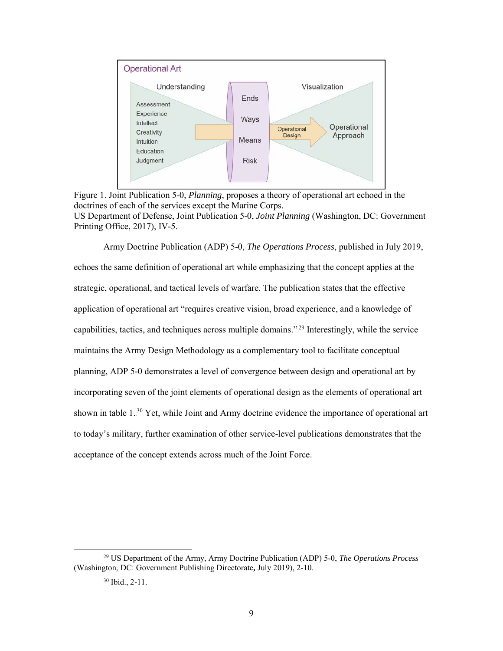

<span id="page-18-0"></span>Figure 1. Joint Publication 5-0, *Planning*, proposes a theory of operational art echoed in the doctrines of each of the services except the Marine Corps. US Department of Defense, Joint Publication 5-0, *Joint Planning* (Washington, DC: Government Printing Office, 2017), IV-5.

Army Doctrine Publication (ADP) 5-0, *The Operations Process*, published in July 2019, echoes the same definition of operational art while emphasizing that the concept applies at the strategic, operational, and tactical levels of warfare. The publication states that the effective application of operational art "requires creative vision, broad experience, and a knowledge of capabilities, tactics, and techniques across multiple domains."<sup>29</sup> Interestingly, while the service maintains the Army Design Methodology as a complementary tool to facilitate conceptual planning, ADP 5-0 demonstrates a level of convergence between design and operational art by incorporating seven of the joint elements of operational design as the elements of operational art shown in table 1.<sup>30</sup> Yet, while Joint and Army doctrine evidence the importance of operational art to today's military, further examination of other service-level publications demonstrates that the acceptance of the concept extends across much of the Joint Force.

 <sup>29</sup> US Department of the Army, Army Doctrine Publication (ADP) 5-0, *The Operations Process* (Washington, DC: Government Publishing Directorate**,** July 2019), 2-10.

 $30$  Ibid., 2-11.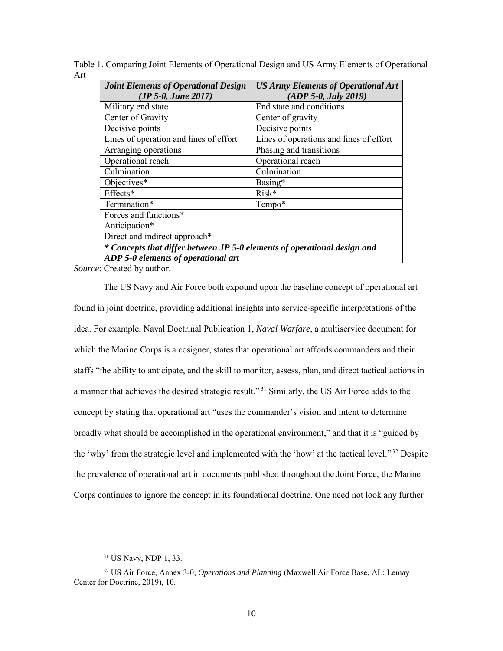<span id="page-19-0"></span>Table 1. Comparing Joint Elements of Operational Design and US Army Elements of Operational Art

| <b>Joint Elements of Operational Design</b>                              | <b>US Army Elements of Operational Art</b> |  |  |  |
|--------------------------------------------------------------------------|--------------------------------------------|--|--|--|
| $(JP 5-0, June 2017)$                                                    | (ADP 5-0, July 2019)                       |  |  |  |
| Military end state                                                       | End state and conditions                   |  |  |  |
| Center of Gravity                                                        | Center of gravity                          |  |  |  |
| Decisive points                                                          | Decisive points                            |  |  |  |
| Lines of operation and lines of effort                                   | Lines of operations and lines of effort    |  |  |  |
| Arranging operations                                                     | Phasing and transitions                    |  |  |  |
| Operational reach                                                        | Operational reach                          |  |  |  |
| Culmination                                                              | Culmination                                |  |  |  |
| Objectives*                                                              | Basing*                                    |  |  |  |
| Effects*                                                                 | Risk*                                      |  |  |  |
| Termination*                                                             | Tempo*                                     |  |  |  |
| Forces and functions*                                                    |                                            |  |  |  |
| Anticipation*                                                            |                                            |  |  |  |
| Direct and indirect approach*                                            |                                            |  |  |  |
| * Concepts that differ between JP 5-0 elements of operational design and |                                            |  |  |  |
| ADP 5-0 elements of operational art                                      |                                            |  |  |  |

*Source*: Created by author.

The US Navy and Air Force both expound upon the baseline concept of operational art found in joint doctrine, providing additional insights into service-specific interpretations of the idea. For example, Naval Doctrinal Publication 1, *Naval Warfare*, a multiservice document for which the Marine Corps is a cosigner, states that operational art affords commanders and their staffs "the ability to anticipate, and the skill to monitor, assess, plan, and direct tactical actions in a manner that achieves the desired strategic result."<sup>31</sup> Similarly, the US Air Force adds to the concept by stating that operational art "uses the commander's vision and intent to determine broadly what should be accomplished in the operational environment," and that it is "guided by the 'why' from the strategic level and implemented with the 'how' at the tactical level." $32$  Despite the prevalence of operational art in documents published throughout the Joint Force, the Marine Corps continues to ignore the concept in its foundational doctrine. One need not look any further

 <sup>31</sup> US Navy, NDP 1, 33.

<sup>32</sup> US Air Force, Annex 3-0, *Operations and Planning* (Maxwell Air Force Base, AL: Lemay Center for Doctrine, 2019), 10.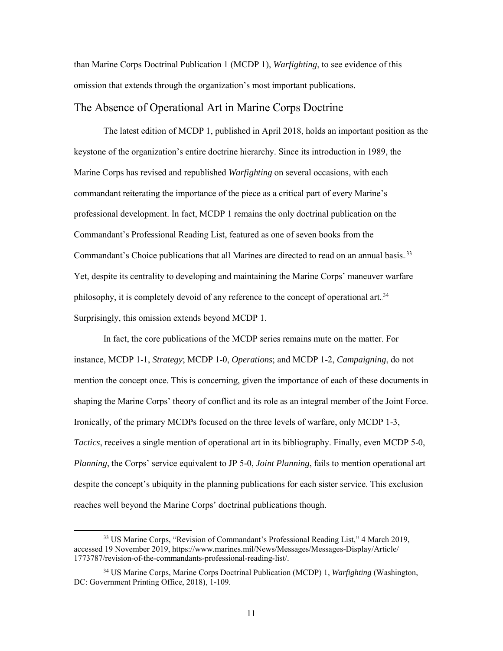than Marine Corps Doctrinal Publication 1 (MCDP 1), *Warfighting*, to see evidence of this omission that extends through the organization's most important publications.

### <span id="page-20-0"></span>The Absence of Operational Art in Marine Corps Doctrine

The latest edition of MCDP 1, published in April 2018, holds an important position as the keystone of the organization's entire doctrine hierarchy. Since its introduction in 1989, the Marine Corps has revised and republished *Warfighting* on several occasions, with each commandant reiterating the importance of the piece as a critical part of every Marine's professional development. In fact, MCDP 1 remains the only doctrinal publication on the Commandant's Professional Reading List, featured as one of seven books from the Commandant's Choice publications that all Marines are directed to read on an annual basis.<sup>33</sup> Yet, despite its centrality to developing and maintaining the Marine Corps' maneuver warfare philosophy, it is completely devoid of any reference to the concept of operational art.<sup>34</sup> Surprisingly, this omission extends beyond MCDP 1.

In fact, the core publications of the MCDP series remains mute on the matter. For instance, MCDP 1-1, *Strategy*; MCDP 1-0, *Operations*; and MCDP 1-2, *Campaigning*, do not mention the concept once. This is concerning, given the importance of each of these documents in shaping the Marine Corps' theory of conflict and its role as an integral member of the Joint Force. Ironically, of the primary MCDPs focused on the three levels of warfare, only MCDP 1-3, *Tactics*, receives a single mention of operational art in its bibliography. Finally, even MCDP 5-0, *Planning*, the Corps' service equivalent to JP 5-0, *Joint Planning*, fails to mention operational art despite the concept's ubiquity in the planning publications for each sister service. This exclusion reaches well beyond the Marine Corps' doctrinal publications though.

 <sup>33</sup> US Marine Corps, "Revision of Commandant's Professional Reading List," 4 March 2019, accessed 19 November 2019, https://www.marines.mil/News/Messages/Messages-Display/Article/ 1773787/revision-of-the-commandants-professional-reading-list/.

<sup>34</sup> US Marine Corps, Marine Corps Doctrinal Publication (MCDP) 1, *Warfighting* (Washington, DC: Government Printing Office, 2018), 1-109.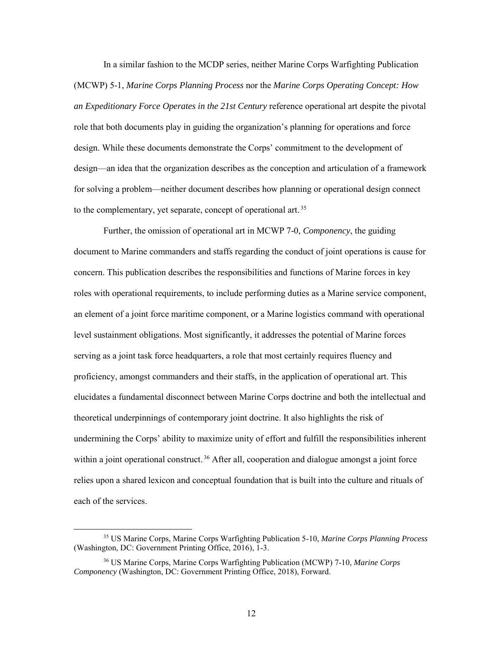In a similar fashion to the MCDP series, neither Marine Corps Warfighting Publication (MCWP) 5-1, *Marine Corps Planning Process* nor the *Marine Corps Operating Concept: How an Expeditionary Force Operates in the 21st Century* reference operational art despite the pivotal role that both documents play in guiding the organization's planning for operations and force design. While these documents demonstrate the Corps' commitment to the development of design—an idea that the organization describes as the conception and articulation of a framework for solving a problem—neither document describes how planning or operational design connect to the complementary, yet separate, concept of operational art.<sup>35</sup>

Further, the omission of operational art in MCWP 7-0, *Componency*, the guiding document to Marine commanders and staffs regarding the conduct of joint operations is cause for concern. This publication describes the responsibilities and functions of Marine forces in key roles with operational requirements, to include performing duties as a Marine service component, an element of a joint force maritime component, or a Marine logistics command with operational level sustainment obligations. Most significantly, it addresses the potential of Marine forces serving as a joint task force headquarters, a role that most certainly requires fluency and proficiency, amongst commanders and their staffs, in the application of operational art. This elucidates a fundamental disconnect between Marine Corps doctrine and both the intellectual and theoretical underpinnings of contemporary joint doctrine. It also highlights the risk of undermining the Corps' ability to maximize unity of effort and fulfill the responsibilities inherent within a joint operational construct.<sup>36</sup> After all, cooperation and dialogue amongst a joint force relies upon a shared lexicon and conceptual foundation that is built into the culture and rituals of each of the services.

 <sup>35</sup> US Marine Corps, Marine Corps Warfighting Publication 5-10, *Marine Corps Planning Process* (Washington, DC: Government Printing Office, 2016), 1-3.

<sup>36</sup> US Marine Corps, Marine Corps Warfighting Publication (MCWP) 7-10, *Marine Corps Componency* (Washington, DC: Government Printing Office, 2018), Forward.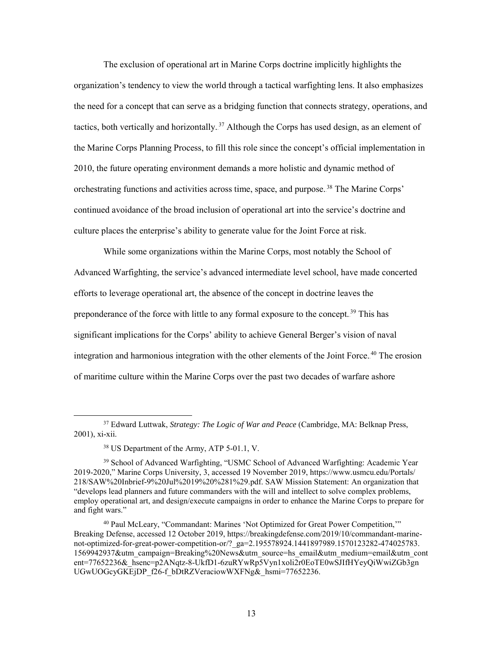The exclusion of operational art in Marine Corps doctrine implicitly highlights the organization's tendency to view the world through a tactical warfighting lens. It also emphasizes the need for a concept that can serve as a bridging function that connects strategy, operations, and tactics, both vertically and horizontally.<sup>37</sup> Although the Corps has used design, as an element of the Marine Corps Planning Process, to fill this role since the concept's official implementation in 2010, the future operating environment demands a more holistic and dynamic method of orchestrating functions and activities across time, space, and purpose.<sup>38</sup> The Marine Corps' continued avoidance of the broad inclusion of operational art into the service's doctrine and culture places the enterprise's ability to generate value for the Joint Force at risk.

While some organizations within the Marine Corps, most notably the School of Advanced Warfighting, the service's advanced intermediate level school, have made concerted efforts to leverage operational art, the absence of the concept in doctrine leaves the preponderance of the force with little to any formal exposure to the concept.<sup>39</sup> This has significant implications for the Corps' ability to achieve General Berger's vision of naval integration and harmonious integration with the other elements of the Joint Force.<sup>40</sup> The erosion of maritime culture within the Marine Corps over the past two decades of warfare ashore

 <sup>37</sup> Edward Luttwak, *Strategy: The Logic of War and Peace* (Cambridge, MA: Belknap Press, 2001), xi-xii.

<sup>38</sup> US Department of the Army, ATP 5-01.1, V.

<sup>&</sup>lt;sup>39</sup> School of Advanced Warfighting, "USMC School of Advanced Warfighting: Academic Year 2019-2020," Marine Corps University, 3, accessed 19 November 2019, https://www.usmcu.edu/Portals/ 218/SAW%20Inbrief-9%20Jul%2019%20%281%29.pdf. SAW Mission Statement: An organization that "develops lead planners and future commanders with the will and intellect to solve complex problems, employ operational art, and design/execute campaigns in order to enhance the Marine Corps to prepare for and fight wars."

<sup>40</sup> Paul McLeary, "Commandant: Marines 'Not Optimized for Great Power Competition,'" Breaking Defense, accessed 12 October 2019, https://breakingdefense.com/2019/10/commandant-marinenot-optimized-for-great-power-competition-or/?\_ga=2.195578924.1441897989.1570123282-474025783. 1569942937&utm\_campaign=Breaking%20News&utm\_source=hs\_email&utm\_medium=email&utm\_cont ent=77652236&\_hsenc=p2ANqtz-8-UkfD1-6zuRYwRp5Vyn1xoli2r0EoTE0wSJIfHYeyQiWwiZGb3gn UGwUOGcyGKEjDP\_f26-f\_bDtRZVeraciowWXFNg&\_hsmi=77652236.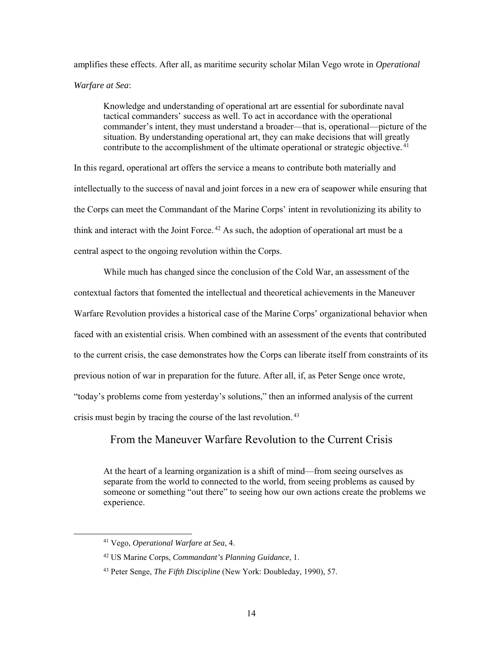amplifies these effects. After all, as maritime security scholar Milan Vego wrote in *Operational Warfare at Sea*:

Knowledge and understanding of operational art are essential for subordinate naval tactical commanders' success as well. To act in accordance with the operational commander's intent, they must understand a broader—that is, operational—picture of the situation. By understanding operational art, they can make decisions that will greatly contribute to the accomplishment of the ultimate operational or strategic objective. $41$ 

In this regard, operational art offers the service a means to contribute both materially and intellectually to the success of naval and joint forces in a new era of seapower while ensuring that the Corps can meet the Commandant of the Marine Corps' intent in revolutionizing its ability to think and interact with the Joint Force.<sup>42</sup> As such, the adoption of operational art must be a central aspect to the ongoing revolution within the Corps.

While much has changed since the conclusion of the Cold War, an assessment of the contextual factors that fomented the intellectual and theoretical achievements in the Maneuver Warfare Revolution provides a historical case of the Marine Corps' organizational behavior when faced with an existential crisis. When combined with an assessment of the events that contributed to the current crisis, the case demonstrates how the Corps can liberate itself from constraints of its previous notion of war in preparation for the future. After all, if, as Peter Senge once wrote, "today's problems come from yesterday's solutions," then an informed analysis of the current crisis must begin by tracing the course of the last revolution.<sup>43</sup>

## <span id="page-23-0"></span>From the Maneuver Warfare Revolution to the Current Crisis

At the heart of a learning organization is a shift of mind—from seeing ourselves as separate from the world to connected to the world, from seeing problems as caused by someone or something "out there" to seeing how our own actions create the problems we experience.

 <sup>41</sup> Vego, *Operational Warfare at Sea*, 4.

<sup>42</sup> US Marine Corps, *Commandant's Planning Guidance*, 1.

<sup>43</sup> Peter Senge, *The Fifth Discipline* (New York: Doubleday, 1990), 57.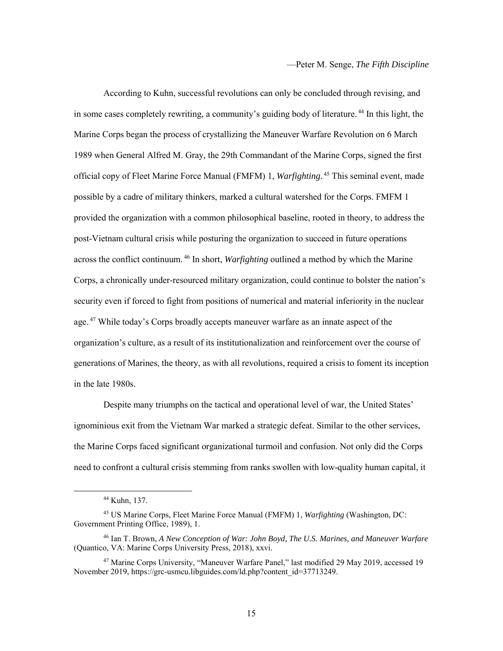According to Kuhn, successful revolutions can only be concluded through revising, and in some cases completely rewriting, a community's guiding body of literature.<sup>44</sup> In this light, the Marine Corps began the process of crystallizing the Maneuver Warfare Revolution on 6 March 1989 when General Alfred M. Gray, the 29th Commandant of the Marine Corps, signed the first official copy of Fleet Marine Force Manual (FMFM) 1, Warfighting.<sup>45</sup> This seminal event, made possible by a cadre of military thinkers, marked a cultural watershed for the Corps. FMFM 1 provided the organization with a common philosophical baseline, rooted in theory, to address the post-Vietnam cultural crisis while posturing the organization to succeed in future operations across the conflict continuum.<sup>46</sup> In short, *Warfighting* outlined a method by which the Marine Corps, a chronically under-resourced military organization, could continue to bolster the nation's security even if forced to fight from positions of numerical and material inferiority in the nuclear age.<sup>47</sup> While today's Corps broadly accepts maneuver warfare as an innate aspect of the organization's culture, as a result of its institutionalization and reinforcement over the course of generations of Marines, the theory, as with all revolutions, required a crisis to foment its inception in the late 1980s.

Despite many triumphs on the tactical and operational level of war, the United States' ignominious exit from the Vietnam War marked a strategic defeat. Similar to the other services, the Marine Corps faced significant organizational turmoil and confusion. Not only did the Corps need to confront a cultural crisis stemming from ranks swollen with low-quality human capital, it

 <sup>44</sup> Kuhn, 137.

<sup>45</sup> US Marine Corps, Fleet Marine Force Manual (FMFM) 1, *Warfighting* (Washington, DC: Government Printing Office, 1989), 1.

<sup>46</sup> Ian T. Brown, *A New Conception of War: John Boyd, The U.S. Marines, and Maneuver Warfare* (Quantico, VA: Marine Corps University Press, 2018), xxvi.

<sup>47</sup> Marine Corps University, "Maneuver Warfare Panel," last modified 29 May 2019, accessed 19 November 2019, https://grc-usmcu.libguides.com/ld.php?content\_id=37713249.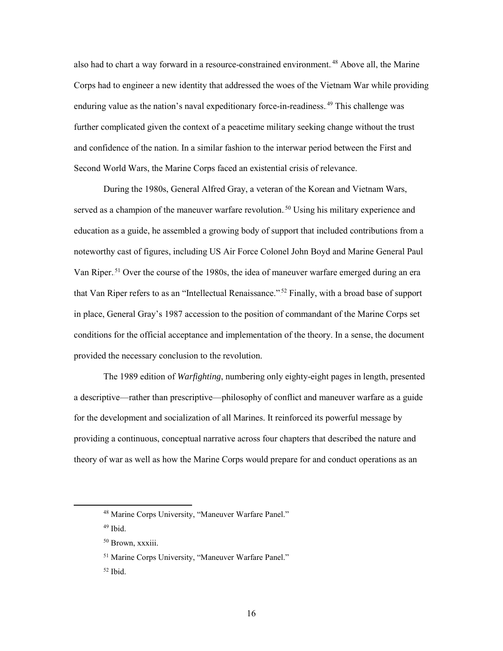also had to chart a way forward in a resource-constrained environment.<sup>48</sup> Above all, the Marine Corps had to engineer a new identity that addressed the woes of the Vietnam War while providing enduring value as the nation's naval expeditionary force-in-readiness. <sup>49</sup> This challenge was further complicated given the context of a peacetime military seeking change without the trust and confidence of the nation. In a similar fashion to the interwar period between the First and Second World Wars, the Marine Corps faced an existential crisis of relevance.

During the 1980s, General Alfred Gray, a veteran of the Korean and Vietnam Wars, served as a champion of the maneuver warfare revolution.<sup>50</sup> Using his military experience and education as a guide, he assembled a growing body of support that included contributions from a noteworthy cast of figures, including US Air Force Colonel John Boyd and Marine General Paul Van Riper.<sup>51</sup> Over the course of the 1980s, the idea of maneuver warfare emerged during an era that Van Riper refers to as an "Intellectual Renaissance."<sup>52</sup> Finally, with a broad base of support in place, General Gray's 1987 accession to the position of commandant of the Marine Corps set conditions for the official acceptance and implementation of the theory. In a sense, the document provided the necessary conclusion to the revolution.

The 1989 edition of *Warfighting*, numbering only eighty-eight pages in length, presented a descriptive—rather than prescriptive—philosophy of conflict and maneuver warfare as a guide for the development and socialization of all Marines. It reinforced its powerful message by providing a continuous, conceptual narrative across four chapters that described the nature and theory of war as well as how the Marine Corps would prepare for and conduct operations as an

 <sup>48</sup> Marine Corps University, "Maneuver Warfare Panel."

<sup>49</sup> Ibid.

<sup>50</sup> Brown, xxxiii.

<sup>51</sup> Marine Corps University, "Maneuver Warfare Panel."

 $52$  Ibid.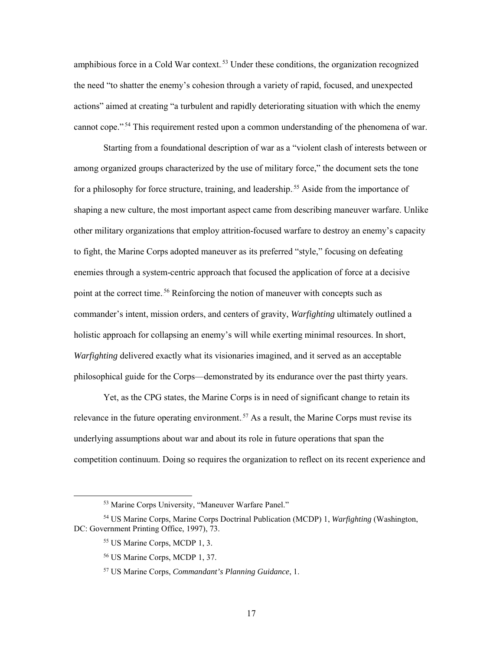amphibious force in a Cold War context.<sup>53</sup> Under these conditions, the organization recognized the need "to shatter the enemy's cohesion through a variety of rapid, focused, and unexpected actions" aimed at creating "a turbulent and rapidly deteriorating situation with which the enemy cannot cope."<sup>54</sup> This requirement rested upon a common understanding of the phenomena of war.

Starting from a foundational description of war as a "violent clash of interests between or among organized groups characterized by the use of military force," the document sets the tone for a philosophy for force structure, training, and leadership.<sup>55</sup> Aside from the importance of shaping a new culture, the most important aspect came from describing maneuver warfare. Unlike other military organizations that employ attrition-focused warfare to destroy an enemy's capacity to fight, the Marine Corps adopted maneuver as its preferred "style," focusing on defeating enemies through a system-centric approach that focused the application of force at a decisive point at the correct time.<sup>56</sup> Reinforcing the notion of maneuver with concepts such as commander's intent, mission orders, and centers of gravity, *Warfighting* ultimately outlined a holistic approach for collapsing an enemy's will while exerting minimal resources. In short, *Warfighting* delivered exactly what its visionaries imagined, and it served as an acceptable philosophical guide for the Corps—demonstrated by its endurance over the past thirty years.

Yet, as the CPG states, the Marine Corps is in need of significant change to retain its relevance in the future operating environment.<sup>57</sup> As a result, the Marine Corps must revise its underlying assumptions about war and about its role in future operations that span the competition continuum. Doing so requires the organization to reflect on its recent experience and

 <sup>53</sup> Marine Corps University, "Maneuver Warfare Panel."

<sup>54</sup> US Marine Corps, Marine Corps Doctrinal Publication (MCDP) 1, *Warfighting* (Washington, DC: Government Printing Office, 1997), 73.

<sup>55</sup> US Marine Corps, MCDP 1, 3.

<sup>56</sup> US Marine Corps, MCDP 1, 37.

<sup>57</sup> US Marine Corps, *Commandant's Planning Guidance*, 1.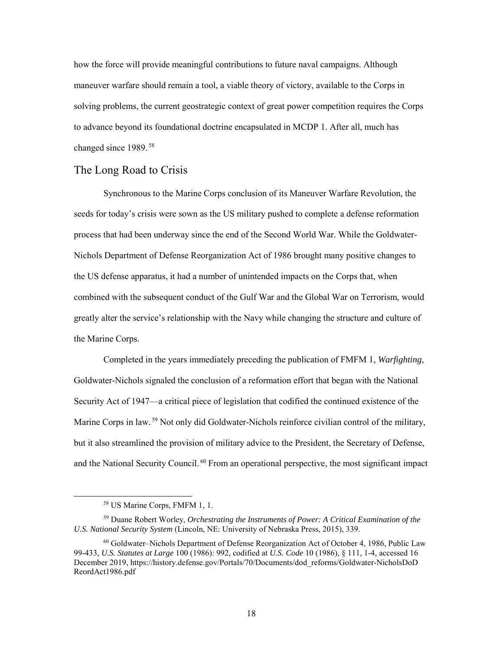how the force will provide meaningful contributions to future naval campaigns. Although maneuver warfare should remain a tool, a viable theory of victory, available to the Corps in solving problems, the current geostrategic context of great power competition requires the Corps to advance beyond its foundational doctrine encapsulated in MCDP 1. After all, much has changed since 1989.<sup>58</sup>

### <span id="page-27-0"></span>The Long Road to Crisis

Synchronous to the Marine Corps conclusion of its Maneuver Warfare Revolution, the seeds for today's crisis were sown as the US military pushed to complete a defense reformation process that had been underway since the end of the Second World War. While the Goldwater-Nichols Department of Defense Reorganization Act of 1986 brought many positive changes to the US defense apparatus, it had a number of unintended impacts on the Corps that, when combined with the subsequent conduct of the Gulf War and the Global War on Terrorism, would greatly alter the service's relationship with the Navy while changing the structure and culture of the Marine Corps.

Completed in the years immediately preceding the publication of FMFM 1, *Warfighting*, Goldwater-Nichols signaled the conclusion of a reformation effort that began with the National Security Act of 1947—a critical piece of legislation that codified the continued existence of the Marine Corps in law.<sup>59</sup> Not only did Goldwater-Nichols reinforce civilian control of the military, but it also streamlined the provision of military advice to the President, the Secretary of Defense, and the National Security Council.<sup>60</sup> From an operational perspective, the most significant impact

 <sup>58</sup> US Marine Corps, FMFM 1, 1.

<sup>59</sup> Duane Robert Worley, *Orchestrating the Instruments of Power: A Critical Examination of the U.S. National Security System* (Lincoln, NE: University of Nebraska Press, 2015), 339.

<sup>60</sup> Goldwater–Nichols Department of Defense Reorganization Act of October 4, 1986, Public Law 99-433, *U.S. Statutes at Large* 100 (1986): 992, codified at *U.S. Code* 10 (1986), § 111, 1-4, accessed 16 December 2019, https://history.defense.gov/Portals/70/Documents/dod\_reforms/Goldwater-NicholsDoD ReordAct1986.pdf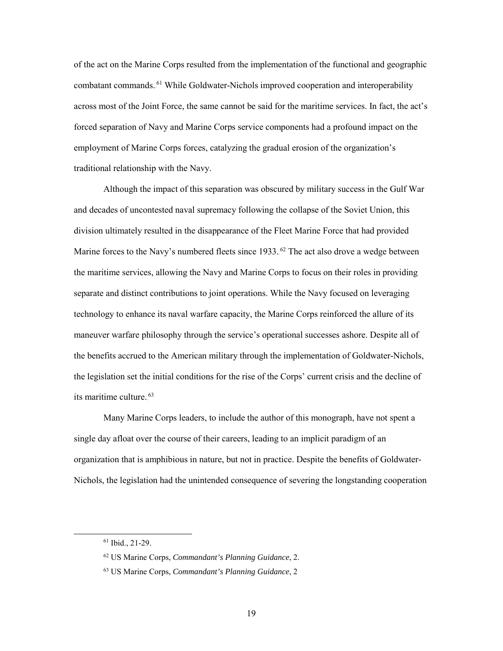of the act on the Marine Corps resulted from the implementation of the functional and geographic combatant commands.<sup>61</sup> While Goldwater-Nichols improved cooperation and interoperability across most of the Joint Force, the same cannot be said for the maritime services. In fact, the act's forced separation of Navy and Marine Corps service components had a profound impact on the employment of Marine Corps forces, catalyzing the gradual erosion of the organization's traditional relationship with the Navy.

Although the impact of this separation was obscured by military success in the Gulf War and decades of uncontested naval supremacy following the collapse of the Soviet Union, this division ultimately resulted in the disappearance of the Fleet Marine Force that had provided Marine forces to the Navy's numbered fleets since 1933.<sup>62</sup> The act also drove a wedge between the maritime services, allowing the Navy and Marine Corps to focus on their roles in providing separate and distinct contributions to joint operations. While the Navy focused on leveraging technology to enhance its naval warfare capacity, the Marine Corps reinforced the allure of its maneuver warfare philosophy through the service's operational successes ashore. Despite all of the benefits accrued to the American military through the implementation of Goldwater-Nichols, the legislation set the initial conditions for the rise of the Corps' current crisis and the decline of its maritime culture.<sup>63</sup>

Many Marine Corps leaders, to include the author of this monograph, have not spent a single day afloat over the course of their careers, leading to an implicit paradigm of an organization that is amphibious in nature, but not in practice. Despite the benefits of Goldwater-Nichols, the legislation had the unintended consequence of severing the longstanding cooperation

 <sup>61</sup> Ibid., 21-29.

<sup>62</sup> US Marine Corps, *Commandant's Planning Guidance*, 2.

<sup>63</sup> US Marine Corps, *Commandant's Planning Guidance*, 2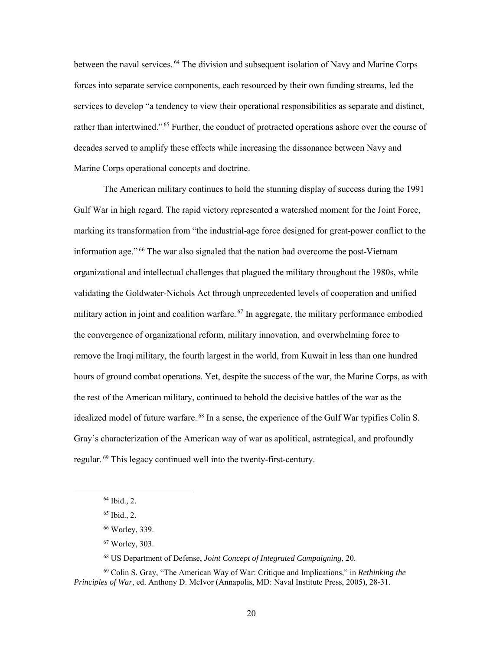between the naval services.<sup>64</sup> The division and subsequent isolation of Navy and Marine Corps forces into separate service components, each resourced by their own funding streams, led the services to develop "a tendency to view their operational responsibilities as separate and distinct, rather than intertwined."<sup>65</sup> Further, the conduct of protracted operations ashore over the course of decades served to amplify these effects while increasing the dissonance between Navy and Marine Corps operational concepts and doctrine.

The American military continues to hold the stunning display of success during the 1991 Gulf War in high regard. The rapid victory represented a watershed moment for the Joint Force, marking its transformation from "the industrial-age force designed for great-power conflict to the information age."<sup>66</sup> The war also signaled that the nation had overcome the post-Vietnam organizational and intellectual challenges that plagued the military throughout the 1980s, while validating the Goldwater-Nichols Act through unprecedented levels of cooperation and unified military action in joint and coalition warfare.<sup>67</sup> In aggregate, the military performance embodied the convergence of organizational reform, military innovation, and overwhelming force to remove the Iraqi military, the fourth largest in the world, from Kuwait in less than one hundred hours of ground combat operations. Yet, despite the success of the war, the Marine Corps, as with the rest of the American military, continued to behold the decisive battles of the war as the idealized model of future warfare.<sup>68</sup> In a sense, the experience of the Gulf War typifies Colin S. Gray's characterization of the American way of war as apolitical, astrategical, and profoundly regular.<sup>69</sup> This legacy continued well into the twenty-first-century.

<sup>68</sup> US Department of Defense, *Joint Concept of Integrated Campaigning*, 20.

 <sup>64</sup> Ibid.*,* 2.

<sup>65</sup> Ibid., 2.

<sup>66</sup> Worley, 339.

<sup>67</sup> Worley, 303.

<sup>69</sup> Colin S. Gray, "The American Way of War: Critique and Implications," in *Rethinking the Principles of War*, ed. Anthony D. McIvor (Annapolis, MD: Naval Institute Press, 2005), 28-31.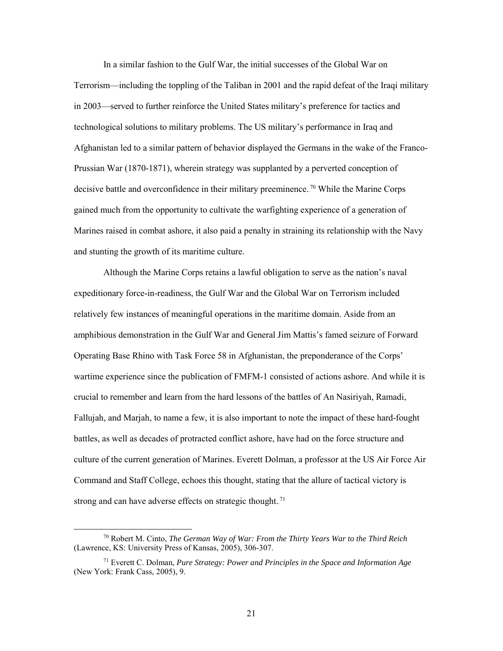In a similar fashion to the Gulf War, the initial successes of the Global War on Terrorism—including the toppling of the Taliban in 2001 and the rapid defeat of the Iraqi military in 2003—served to further reinforce the United States military's preference for tactics and technological solutions to military problems. The US military's performance in Iraq and Afghanistan led to a similar pattern of behavior displayed the Germans in the wake of the Franco-Prussian War (1870-1871), wherein strategy was supplanted by a perverted conception of decisive battle and overconfidence in their military preeminence.<sup>70</sup> While the Marine Corps gained much from the opportunity to cultivate the warfighting experience of a generation of Marines raised in combat ashore, it also paid a penalty in straining its relationship with the Navy and stunting the growth of its maritime culture.

Although the Marine Corps retains a lawful obligation to serve as the nation's naval expeditionary force-in-readiness, the Gulf War and the Global War on Terrorism included relatively few instances of meaningful operations in the maritime domain. Aside from an amphibious demonstration in the Gulf War and General Jim Mattis's famed seizure of Forward Operating Base Rhino with Task Force 58 in Afghanistan, the preponderance of the Corps' wartime experience since the publication of FMFM-1 consisted of actions ashore. And while it is crucial to remember and learn from the hard lessons of the battles of An Nasiriyah, Ramadi, Fallujah, and Marjah, to name a few, it is also important to note the impact of these hard-fought battles, as well as decades of protracted conflict ashore, have had on the force structure and culture of the current generation of Marines. Everett Dolman, a professor at the US Air Force Air Command and Staff College, echoes this thought, stating that the allure of tactical victory is strong and can have adverse effects on strategic thought.<sup>71</sup>

 <sup>70</sup> Robert M. Cinto, *The German Way of War: From the Thirty Years War to the Third Reich* (Lawrence, KS: University Press of Kansas, 2005), 306-307.

<sup>71</sup> Everett C. Dolman, *Pure Strategy: Power and Principles in the Space and Information Age* (New York: Frank Cass, 2005), 9.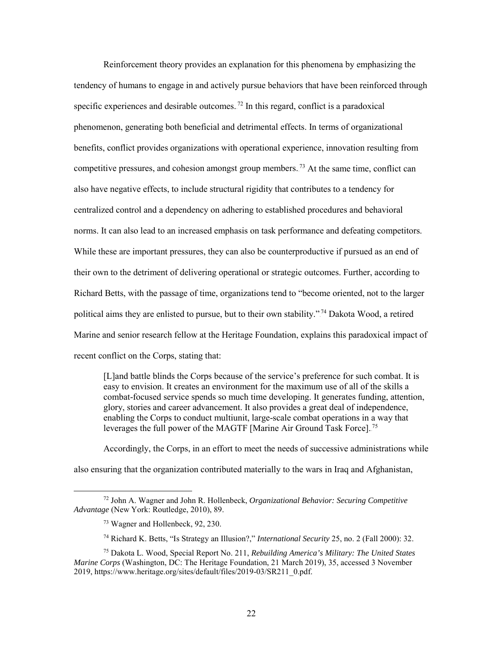Reinforcement theory provides an explanation for this phenomena by emphasizing the tendency of humans to engage in and actively pursue behaviors that have been reinforced through specific experiences and desirable outcomes.<sup>72</sup> In this regard, conflict is a paradoxical phenomenon, generating both beneficial and detrimental effects. In terms of organizational benefits, conflict provides organizations with operational experience, innovation resulting from competitive pressures, and cohesion amongst group members.<sup>73</sup> At the same time, conflict can also have negative effects, to include structural rigidity that contributes to a tendency for centralized control and a dependency on adhering to established procedures and behavioral norms. It can also lead to an increased emphasis on task performance and defeating competitors. While these are important pressures, they can also be counterproductive if pursued as an end of their own to the detriment of delivering operational or strategic outcomes. Further, according to Richard Betts, with the passage of time, organizations tend to "become oriented, not to the larger political aims they are enlisted to pursue, but to their own stability."<sup>74</sup> Dakota Wood, a retired Marine and senior research fellow at the Heritage Foundation, explains this paradoxical impact of recent conflict on the Corps, stating that:

[L]and battle blinds the Corps because of the service's preference for such combat. It is easy to envision. It creates an environment for the maximum use of all of the skills a combat-focused service spends so much time developing. It generates funding, attention, glory, stories and career advancement. It also provides a great deal of independence, enabling the Corps to conduct multiunit, large-scale combat operations in a way that leverages the full power of the MAGTF [Marine Air Ground Task Force].<sup>75</sup>

Accordingly, the Corps, in an effort to meet the needs of successive administrations while also ensuring that the organization contributed materially to the wars in Iraq and Afghanistan,

 <sup>72</sup> John A. Wagner and John R. Hollenbeck, *Organizational Behavior: Securing Competitive Advantage* (New York: Routledge, 2010), 89.

<sup>73</sup> Wagner and Hollenbeck, 92, 230.

<sup>74</sup> Richard K. Betts, "Is Strategy an Illusion?," *International Security* 25, no. 2 (Fall 2000): 32.

<sup>75</sup> Dakota L. Wood, Special Report No. 211, *Rebuilding America's Military: The United States Marine Corps* (Washington, DC: The Heritage Foundation, 21 March 2019), 35, accessed 3 November 2019, https://www.heritage.org/sites/default/files/2019-03/SR211\_0.pdf.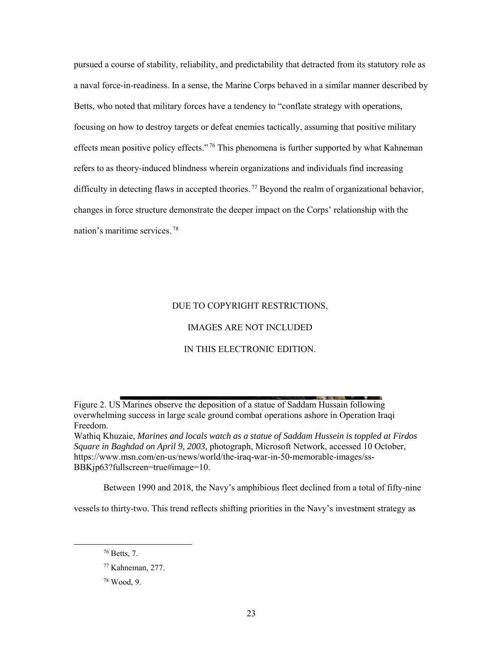pursued a course of stability, reliability, and predictability that detracted from its statutory role as a naval force-in-readiness. In a sense, the Marine Corps behaved in a similar manner described by Betts, who noted that military forces have a tendency to "conflate strategy with operations, focusing on how to destroy targets or defeat enemies tactically, assuming that positive military effects mean positive policy effects."<sup>76</sup> This phenomena is further supported by what Kahneman refers to as theory-induced blindness wherein organizations and individuals find increasing difficulty in detecting flaws in accepted theories.<sup>77</sup> Beyond the realm of organizational behavior, changes in force structure demonstrate the deeper impact on the Corps' relationship with the nation's maritime services.<sup>78</sup>

#### DUE TO COPYRIGHT RESTRICTIONS,

#### IMAGES ARE NOT INCLUDED

#### IN THIS ELECTRONIC EDITION.

<span id="page-32-0"></span>Figure 2. US Marines observe the deposition of a statue of Saddam Hussain following overwhelming success in large scale ground combat operations ashore in Operation Iraqi Freedom.

Wathiq Khuzaie, *Marines and locals watch as a statue of Saddam Hussein is toppled at Firdos Square in Baghdad on April 9, 2003*, photograph, Microsoft Network, accessed 10 October, https://www.msn.com/en-us/news/world/the-iraq-war-in-50-memorable-images/ss-BBKjp63?fullscreen=true#image=10.

Between 1990 and 2018, the Navy's amphibious fleet declined from a total of fifty-nine

vessels to thirty-two. This trend reflects shifting priorities in the Navy's investment strategy as

<sup>78</sup> Wood, 9.

<sup>76</sup> Betts, 7.

<sup>77</sup> Kahneman, 277.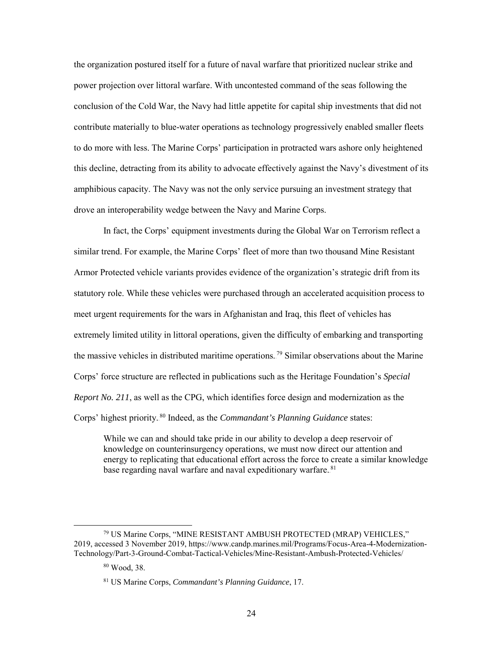the organization postured itself for a future of naval warfare that prioritized nuclear strike and power projection over littoral warfare. With uncontested command of the seas following the conclusion of the Cold War, the Navy had little appetite for capital ship investments that did not contribute materially to blue-water operations as technology progressively enabled smaller fleets to do more with less. The Marine Corps' participation in protracted wars ashore only heightened this decline, detracting from its ability to advocate effectively against the Navy's divestment of its amphibious capacity. The Navy was not the only service pursuing an investment strategy that drove an interoperability wedge between the Navy and Marine Corps.

In fact, the Corps' equipment investments during the Global War on Terrorism reflect a similar trend. For example, the Marine Corps' fleet of more than two thousand Mine Resistant Armor Protected vehicle variants provides evidence of the organization's strategic drift from its statutory role. While these vehicles were purchased through an accelerated acquisition process to meet urgent requirements for the wars in Afghanistan and Iraq, this fleet of vehicles has extremely limited utility in littoral operations, given the difficulty of embarking and transporting the massive vehicles in distributed maritime operations.<sup>79</sup> Similar observations about the Marine Corps' force structure are reflected in publications such as the Heritage Foundation's *Special Report No. 211*, as well as the CPG, which identifies force design and modernization as the Corps' highest priority.<sup>80</sup> Indeed, as the *Commandant's Planning Guidance* states:

While we can and should take pride in our ability to develop a deep reservoir of knowledge on counterinsurgency operations, we must now direct our attention and energy to replicating that educational effort across the force to create a similar knowledge base regarding naval warfare and naval expeditionary warfare.<sup>81</sup>

 <sup>79</sup> US Marine Corps, "MINE RESISTANT AMBUSH PROTECTED (MRAP) VEHICLES," 2019, accessed 3 November 2019, https://www.candp.marines.mil/Programs/Focus-Area-4-Modernization-Technology/Part-3-Ground-Combat-Tactical-Vehicles/Mine-Resistant-Ambush-Protected-Vehicles/

<sup>80</sup> Wood, 38.

<sup>81</sup> US Marine Corps, *Commandant's Planning Guidance*, 17.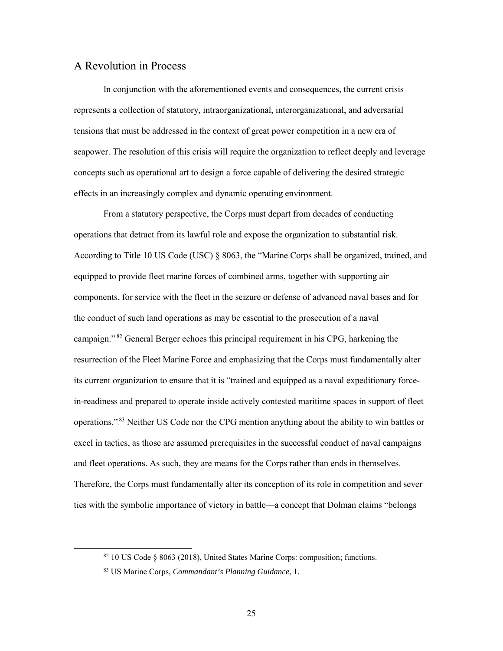#### <span id="page-34-0"></span>A Revolution in Process

In conjunction with the aforementioned events and consequences, the current crisis represents a collection of statutory, intraorganizational, interorganizational, and adversarial tensions that must be addressed in the context of great power competition in a new era of seapower. The resolution of this crisis will require the organization to reflect deeply and leverage concepts such as operational art to design a force capable of delivering the desired strategic effects in an increasingly complex and dynamic operating environment.

From a statutory perspective, the Corps must depart from decades of conducting operations that detract from its lawful role and expose the organization to substantial risk. According to Title 10 US Code (USC) § 8063, the "Marine Corps shall be organized, trained, and equipped to provide fleet marine forces of combined arms, together with supporting air components, for service with the fleet in the seizure or defense of advanced naval bases and for the conduct of such land operations as may be essential to the prosecution of a naval campaign."<sup>82</sup> General Berger echoes this principal requirement in his CPG, harkening the resurrection of the Fleet Marine Force and emphasizing that the Corps must fundamentally alter its current organization to ensure that it is "trained and equipped as a naval expeditionary forcein-readiness and prepared to operate inside actively contested maritime spaces in support of fleet operations."<sup>83</sup> Neither US Code nor the CPG mention anything about the ability to win battles or excel in tactics, as those are assumed prerequisites in the successful conduct of naval campaigns and fleet operations. As such, they are means for the Corps rather than ends in themselves. Therefore, the Corps must fundamentally alter its conception of its role in competition and sever ties with the symbolic importance of victory in battle—a concept that Dolman claims "belongs

 <sup>82</sup> <sup>10</sup> US Code § 8063 (2018), United States Marine Corps: composition; functions.

<sup>83</sup> US Marine Corps, *Commandant's Planning Guidance*, 1.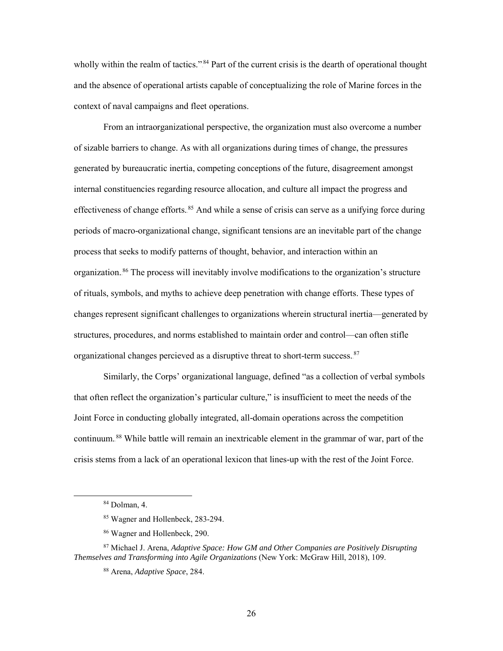wholly within the realm of tactics."<sup>84</sup> Part of the current crisis is the dearth of operational thought and the absence of operational artists capable of conceptualizing the role of Marine forces in the context of naval campaigns and fleet operations.

From an intraorganizational perspective, the organization must also overcome a number of sizable barriers to change. As with all organizations during times of change, the pressures generated by bureaucratic inertia, competing conceptions of the future, disagreement amongst internal constituencies regarding resource allocation, and culture all impact the progress and effectiveness of change efforts.<sup>85</sup> And while a sense of crisis can serve as a unifying force during periods of macro-organizational change, significant tensions are an inevitable part of the change process that seeks to modify patterns of thought, behavior, and interaction within an organization.<sup>86</sup> The process will inevitably involve modifications to the organization's structure of rituals, symbols, and myths to achieve deep penetration with change efforts. These types of changes represent significant challenges to organizations wherein structural inertia—generated by structures, procedures, and norms established to maintain order and control—can often stifle organizational changes percieved as a disruptive threat to short-term success.<sup>87</sup>

Similarly, the Corps' organizational language, defined "as a collection of verbal symbols that often reflect the organization's particular culture," is insufficient to meet the needs of the Joint Force in conducting globally integrated, all-domain operations across the competition continuum.<sup>88</sup> While battle will remain an inextricable element in the grammar of war, part of the crisis stems from a lack of an operational lexicon that lines-up with the rest of the Joint Force.

 <sup>84</sup> Dolman, 4.

<sup>85</sup> Wagner and Hollenbeck, 283-294.

<sup>86</sup> Wagner and Hollenbeck, 290.

<sup>87</sup> Michael J. Arena, *Adaptive Space: How GM and Other Companies are Positively Disrupting Themselves and Transforming into Agile Organizations* (New York: McGraw Hill, 2018), 109.

<sup>88</sup> Arena, *Adaptive Space*, 284.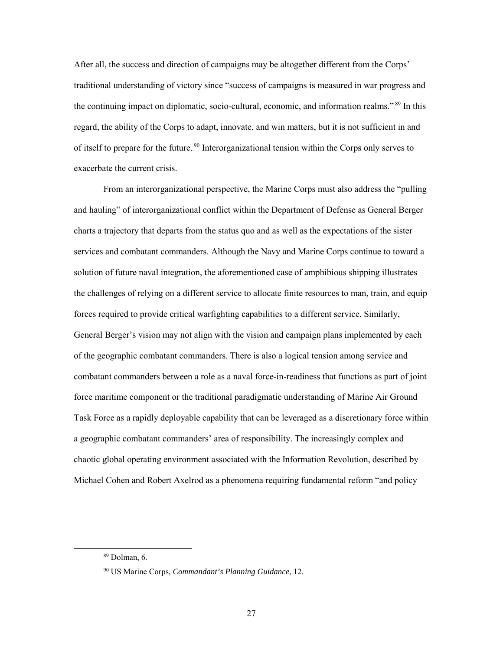After all, the success and direction of campaigns may be altogether different from the Corps' traditional understanding of victory since "success of campaigns is measured in war progress and the continuing impact on diplomatic, socio-cultural, economic, and information realms."<sup>89</sup> In this regard, the ability of the Corps to adapt, innovate, and win matters, but it is not sufficient in and of itself to prepare for the future.<sup>90</sup> Interorganizational tension within the Corps only serves to exacerbate the current crisis.

From an interorganizational perspective, the Marine Corps must also address the "pulling and hauling" of interorganizational conflict within the Department of Defense as General Berger charts a trajectory that departs from the status quo and as well as the expectations of the sister services and combatant commanders. Although the Navy and Marine Corps continue to toward a solution of future naval integration, the aforementioned case of amphibious shipping illustrates the challenges of relying on a different service to allocate finite resources to man, train, and equip forces required to provide critical warfighting capabilities to a different service. Similarly, General Berger's vision may not align with the vision and campaign plans implemented by each of the geographic combatant commanders. There is also a logical tension among service and combatant commanders between a role as a naval force-in-readiness that functions as part of joint force maritime component or the traditional paradigmatic understanding of Marine Air Ground Task Force as a rapidly deployable capability that can be leveraged as a discretionary force within a geographic combatant commanders' area of responsibility. The increasingly complex and chaotic global operating environment associated with the Information Revolution, described by Michael Cohen and Robert Axelrod as a phenomena requiring fundamental reform "and policy

 <sup>89</sup> Dolman, 6.

<sup>90</sup> US Marine Corps, *Commandant's Planning Guidance*, 12.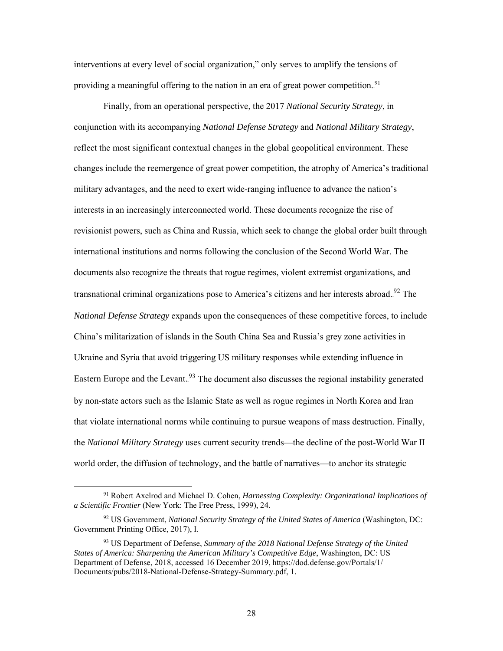interventions at every level of social organization," only serves to amplify the tensions of providing a meaningful offering to the nation in an era of great power competition.<sup>91</sup>

Finally, from an operational perspective, the 2017 *National Security Strategy*, in conjunction with its accompanying *National Defense Strategy* and *National Military Strategy*, reflect the most significant contextual changes in the global geopolitical environment. These changes include the reemergence of great power competition, the atrophy of America's traditional military advantages, and the need to exert wide-ranging influence to advance the nation's interests in an increasingly interconnected world. These documents recognize the rise of revisionist powers, such as China and Russia, which seek to change the global order built through international institutions and norms following the conclusion of the Second World War. The documents also recognize the threats that rogue regimes, violent extremist organizations, and transnational criminal organizations pose to America's citizens and her interests abroad.<sup>92</sup> The *National Defense Strategy* expands upon the consequences of these competitive forces, to include China's militarization of islands in the South China Sea and Russia's grey zone activities in Ukraine and Syria that avoid triggering US military responses while extending influence in Eastern Europe and the Levant.<sup>93</sup> The document also discusses the regional instability generated by non-state actors such as the Islamic State as well as rogue regimes in North Korea and Iran that violate international norms while continuing to pursue weapons of mass destruction. Finally, the *National Military Strategy* uses current security trends—the decline of the post-World War II world order, the diffusion of technology, and the battle of narratives—to anchor its strategic

 <sup>91</sup> Robert Axelrod and Michael D. Cohen, *Harnessing Complexity: Organizational Implications of a Scientific Frontier* (New York: The Free Press, 1999), 24.

<sup>92</sup> US Government, *National Security Strategy of the United States of America* (Washington, DC: Government Printing Office, 2017), I.

<sup>93</sup> US Department of Defense, *Summary of the 2018 National Defense Strategy of the United States of America: Sharpening the American Military's Competitive Edge*, Washington, DC: US Department of Defense, 2018, accessed 16 December 2019, https://dod.defense.gov/Portals/1/ Documents/pubs/2018-National-Defense-Strategy-Summary.pdf, 1.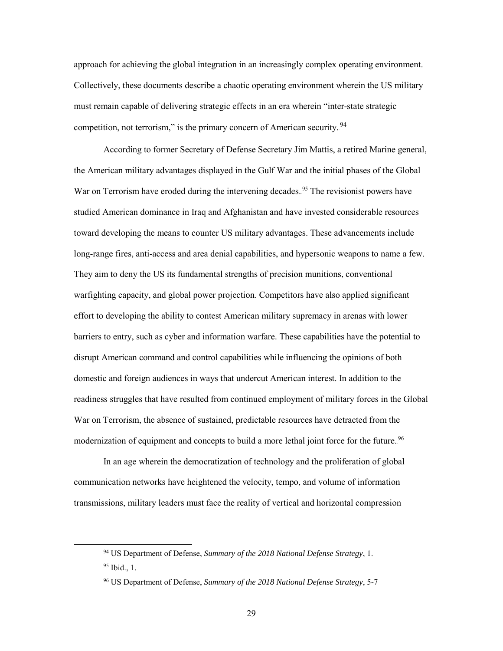approach for achieving the global integration in an increasingly complex operating environment. Collectively, these documents describe a chaotic operating environment wherein the US military must remain capable of delivering strategic effects in an era wherein "inter-state strategic competition, not terrorism," is the primary concern of American security.<sup>94</sup>

According to former Secretary of Defense Secretary Jim Mattis, a retired Marine general, the American military advantages displayed in the Gulf War and the initial phases of the Global War on Terrorism have eroded during the intervening decades.<sup>95</sup> The revisionist powers have studied American dominance in Iraq and Afghanistan and have invested considerable resources toward developing the means to counter US military advantages. These advancements include long-range fires, anti-access and area denial capabilities, and hypersonic weapons to name a few. They aim to deny the US its fundamental strengths of precision munitions, conventional warfighting capacity, and global power projection. Competitors have also applied significant effort to developing the ability to contest American military supremacy in arenas with lower barriers to entry, such as cyber and information warfare. These capabilities have the potential to disrupt American command and control capabilities while influencing the opinions of both domestic and foreign audiences in ways that undercut American interest. In addition to the readiness struggles that have resulted from continued employment of military forces in the Global War on Terrorism, the absence of sustained, predictable resources have detracted from the modernization of equipment and concepts to build a more lethal joint force for the future.<sup>96</sup>

In an age wherein the democratization of technology and the proliferation of global communication networks have heightened the velocity, tempo, and volume of information transmissions, military leaders must face the reality of vertical and horizontal compression

 <sup>94</sup> US Department of Defense, *Summary of the 2018 National Defense Strategy*, 1.

<sup>95</sup> Ibid., 1.

<sup>96</sup> US Department of Defense, *Summary of the 2018 National Defense Strategy*, 5-7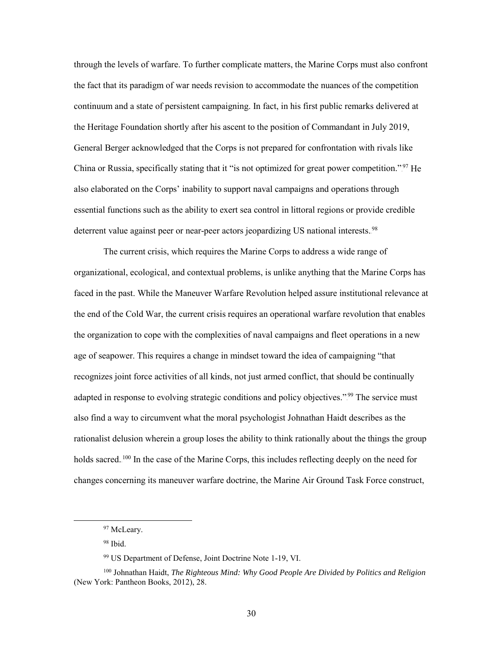through the levels of warfare. To further complicate matters, the Marine Corps must also confront the fact that its paradigm of war needs revision to accommodate the nuances of the competition continuum and a state of persistent campaigning. In fact, in his first public remarks delivered at the Heritage Foundation shortly after his ascent to the position of Commandant in July 2019, General Berger acknowledged that the Corps is not prepared for confrontation with rivals like China or Russia, specifically stating that it "is not optimized for great power competition."<sup>97</sup> He also elaborated on the Corps' inability to support naval campaigns and operations through essential functions such as the ability to exert sea control in littoral regions or provide credible deterrent value against peer or near-peer actors jeopardizing US national interests.<sup>98</sup>

The current crisis, which requires the Marine Corps to address a wide range of organizational, ecological, and contextual problems, is unlike anything that the Marine Corps has faced in the past. While the Maneuver Warfare Revolution helped assure institutional relevance at the end of the Cold War, the current crisis requires an operational warfare revolution that enables the organization to cope with the complexities of naval campaigns and fleet operations in a new age of seapower. This requires a change in mindset toward the idea of campaigning "that recognizes joint force activities of all kinds, not just armed conflict, that should be continually adapted in response to evolving strategic conditions and policy objectives."<sup>99</sup> The service must also find a way to circumvent what the moral psychologist Johnathan Haidt describes as the rationalist delusion wherein a group loses the ability to think rationally about the things the group holds sacred.<sup>100</sup> In the case of the Marine Corps, this includes reflecting deeply on the need for changes concerning its maneuver warfare doctrine, the Marine Air Ground Task Force construct,

 <sup>97</sup> McLeary.

<sup>98</sup> Ibid.

<sup>99</sup> US Department of Defense, Joint Doctrine Note 1-19, VI.

<sup>100</sup> Johnathan Haidt, *The Righteous Mind: Why Good People Are Divided by Politics and Religion* (New York: Pantheon Books, 2012), 28.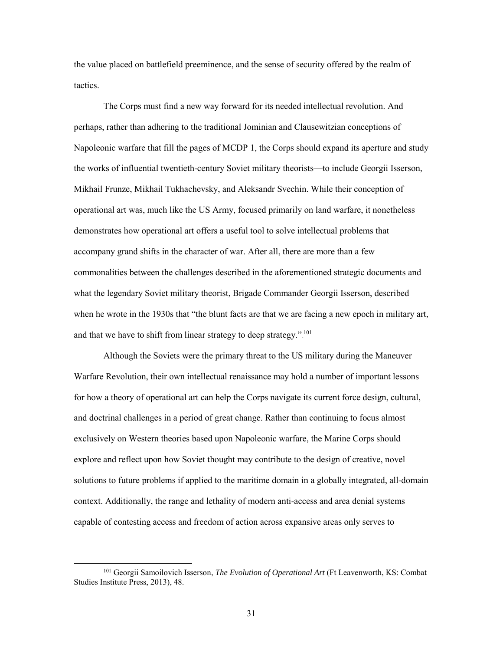the value placed on battlefield preeminence, and the sense of security offered by the realm of tactics.

The Corps must find a new way forward for its needed intellectual revolution. And perhaps, rather than adhering to the traditional Jominian and Clausewitzian conceptions of Napoleonic warfare that fill the pages of MCDP 1, the Corps should expand its aperture and study the works of influential twentieth-century Soviet military theorists—to include Georgii Isserson, Mikhail Frunze, Mikhail Tukhachevsky, and Aleksandr Svechin. While their conception of operational art was, much like the US Army, focused primarily on land warfare, it nonetheless demonstrates how operational art offers a useful tool to solve intellectual problems that accompany grand shifts in the character of war. After all, there are more than a few commonalities between the challenges described in the aforementioned strategic documents and what the legendary Soviet military theorist, Brigade Commander Georgii Isserson, described when he wrote in the 1930s that "the blunt facts are that we are facing a new epoch in military art, and that we have to shift from linear strategy to deep strategy." $101$ 

Although the Soviets were the primary threat to the US military during the Maneuver Warfare Revolution, their own intellectual renaissance may hold a number of important lessons for how a theory of operational art can help the Corps navigate its current force design, cultural, and doctrinal challenges in a period of great change. Rather than continuing to focus almost exclusively on Western theories based upon Napoleonic warfare, the Marine Corps should explore and reflect upon how Soviet thought may contribute to the design of creative, novel solutions to future problems if applied to the maritime domain in a globally integrated, all-domain context. Additionally, the range and lethality of modern anti-access and area denial systems capable of contesting access and freedom of action across expansive areas only serves to

 <sup>101</sup> Georgii Samoilovich Isserson, *The Evolution of Operational Art* (Ft Leavenworth, KS: Combat Studies Institute Press, 2013), 48.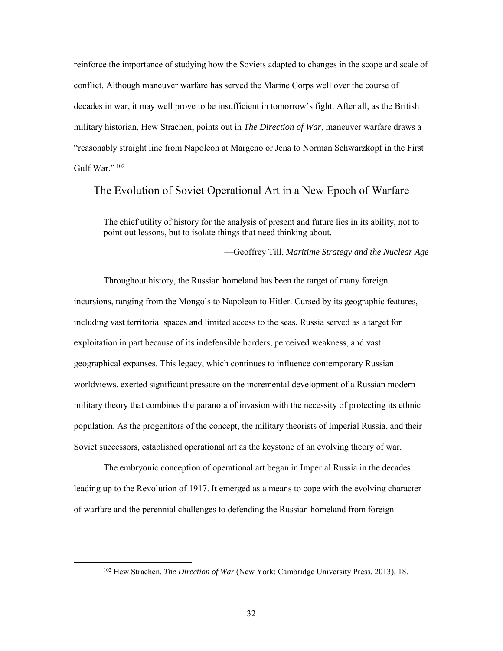reinforce the importance of studying how the Soviets adapted to changes in the scope and scale of conflict. Although maneuver warfare has served the Marine Corps well over the course of decades in war, it may well prove to be insufficient in tomorrow's fight. After all, as the British military historian, Hew Strachen, points out in *The Direction of War*, maneuver warfare draws a "reasonably straight line from Napoleon at Margeno or Jena to Norman Schwarzkopf in the First Gulf War." $102$ 

# <span id="page-41-0"></span>The Evolution of Soviet Operational Art in a New Epoch of Warfare

The chief utility of history for the analysis of present and future lies in its ability, not to point out lessons, but to isolate things that need thinking about.

—Geoffrey Till, *Maritime Strategy and the Nuclear Age*

Throughout history, the Russian homeland has been the target of many foreign incursions, ranging from the Mongols to Napoleon to Hitler. Cursed by its geographic features, including vast territorial spaces and limited access to the seas, Russia served as a target for exploitation in part because of its indefensible borders, perceived weakness, and vast geographical expanses. This legacy, which continues to influence contemporary Russian worldviews, exerted significant pressure on the incremental development of a Russian modern military theory that combines the paranoia of invasion with the necessity of protecting its ethnic population. As the progenitors of the concept, the military theorists of Imperial Russia, and their Soviet successors, established operational art as the keystone of an evolving theory of war.

The embryonic conception of operational art began in Imperial Russia in the decades leading up to the Revolution of 1917. It emerged as a means to cope with the evolving character of warfare and the perennial challenges to defending the Russian homeland from foreign

 <sup>102</sup> Hew Strachen, *The Direction of War* (New York: Cambridge University Press, 2013), 18.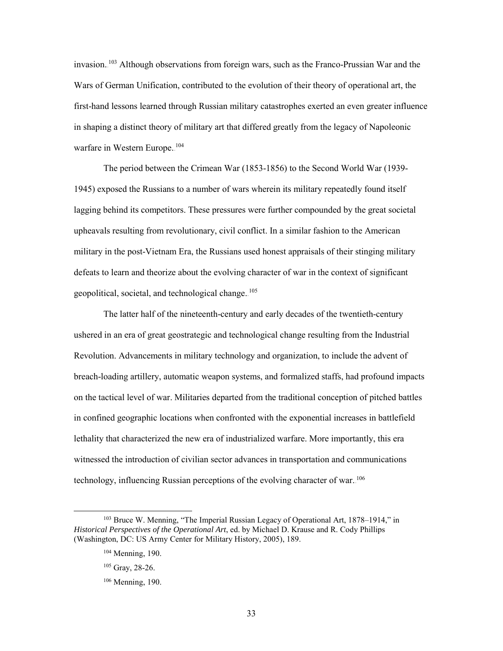invasion.<sup>103</sup> Although observations from foreign wars, such as the Franco-Prussian War and the Wars of German Unification, contributed to the evolution of their theory of operational art, the first-hand lessons learned through Russian military catastrophes exerted an even greater influence in shaping a distinct theory of military art that differed greatly from the legacy of Napoleonic warfare in Western Europe.<sup>104</sup>

The period between the Crimean War (1853-1856) to the Second World War (1939- 1945) exposed the Russians to a number of wars wherein its military repeatedly found itself lagging behind its competitors. These pressures were further compounded by the great societal upheavals resulting from revolutionary, civil conflict. In a similar fashion to the American military in the post-Vietnam Era, the Russians used honest appraisals of their stinging military defeats to learn and theorize about the evolving character of war in the context of significant geopolitical, societal, and technological change.<sup>105</sup>

The latter half of the nineteenth-century and early decades of the twentieth-century ushered in an era of great geostrategic and technological change resulting from the Industrial Revolution. Advancements in military technology and organization, to include the advent of breach-loading artillery, automatic weapon systems, and formalized staffs, had profound impacts on the tactical level of war. Militaries departed from the traditional conception of pitched battles in confined geographic locations when confronted with the exponential increases in battlefield lethality that characterized the new era of industrialized warfare. More importantly, this era witnessed the introduction of civilian sector advances in transportation and communications technology, influencing Russian perceptions of the evolving character of war.  $^{106}$ 

<sup>&</sup>lt;sup>103</sup> Bruce W. Menning, "The Imperial Russian Legacy of Operational Art, 1878–1914," in *Historical Perspectives of the Operational Art*, ed. by Michael D. Krause and R. Cody Phillips (Washington, DC: US Army Center for Military History, 2005), 189.

<sup>104</sup> Menning, 190.

<sup>105</sup> Gray, 28-26.

 $106$  Menning, 190.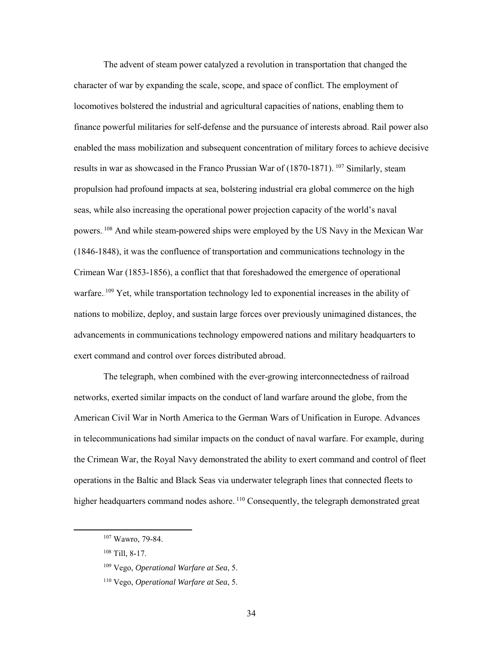The advent of steam power catalyzed a revolution in transportation that changed the character of war by expanding the scale, scope, and space of conflict. The employment of locomotives bolstered the industrial and agricultural capacities of nations, enabling them to finance powerful militaries for self-defense and the pursuance of interests abroad. Rail power also enabled the mass mobilization and subsequent concentration of military forces to achieve decisive results in war as showcased in the Franco Prussian War of  $(1870-1871)$ . <sup>107</sup> Similarly, steam propulsion had profound impacts at sea, bolstering industrial era global commerce on the high seas, while also increasing the operational power projection capacity of the world's naval powers. <sup>108</sup> And while steam-powered ships were employed by the US Navy in the Mexican War (1846-1848), it was the confluence of transportation and communications technology in the Crimean War (1853-1856), a conflict that that foreshadowed the emergence of operational warfare. <sup>109</sup> Yet, while transportation technology led to exponential increases in the ability of nations to mobilize, deploy, and sustain large forces over previously unimagined distances, the advancements in communications technology empowered nations and military headquarters to exert command and control over forces distributed abroad.

The telegraph, when combined with the ever-growing interconnectedness of railroad networks, exerted similar impacts on the conduct of land warfare around the globe, from the American Civil War in North America to the German Wars of Unification in Europe. Advances in telecommunications had similar impacts on the conduct of naval warfare. For example, during the Crimean War, the Royal Navy demonstrated the ability to exert command and control of fleet operations in the Baltic and Black Seas via underwater telegraph lines that connected fleets to higher headquarters command nodes ashore.<sup>110</sup> Consequently, the telegraph demonstrated great

 <sup>107</sup> Wawro, 79-84.

<sup>108</sup> Till, 8-17.

<sup>109</sup> Vego, *Operational Warfare at Sea*, 5.

<sup>110</sup> Vego, *Operational Warfare at Sea*, 5.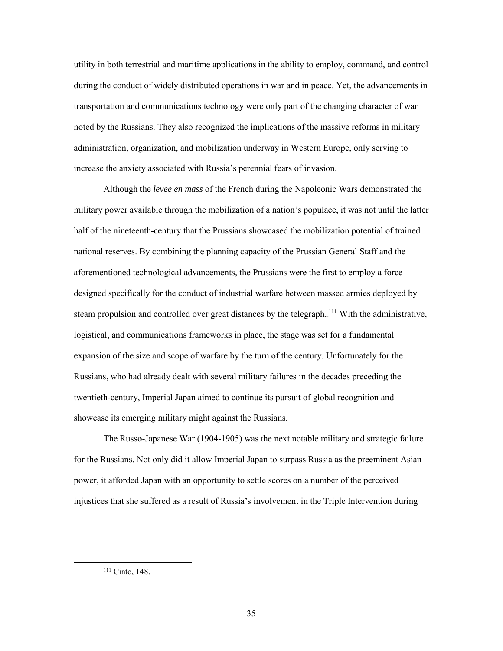utility in both terrestrial and maritime applications in the ability to employ, command, and control during the conduct of widely distributed operations in war and in peace. Yet, the advancements in transportation and communications technology were only part of the changing character of war noted by the Russians. They also recognized the implications of the massive reforms in military administration, organization, and mobilization underway in Western Europe, only serving to increase the anxiety associated with Russia's perennial fears of invasion.

Although the *levee en mass* of the French during the Napoleonic Wars demonstrated the military power available through the mobilization of a nation's populace, it was not until the latter half of the nineteenth-century that the Prussians showcased the mobilization potential of trained national reserves. By combining the planning capacity of the Prussian General Staff and the aforementioned technological advancements, the Prussians were the first to employ a force designed specifically for the conduct of industrial warfare between massed armies deployed by steam propulsion and controlled over great distances by the telegraph.<sup>111</sup> With the administrative, logistical, and communications frameworks in place, the stage was set for a fundamental expansion of the size and scope of warfare by the turn of the century. Unfortunately for the Russians, who had already dealt with several military failures in the decades preceding the twentieth-century, Imperial Japan aimed to continue its pursuit of global recognition and showcase its emerging military might against the Russians.

The Russo-Japanese War (1904-1905) was the next notable military and strategic failure for the Russians. Not only did it allow Imperial Japan to surpass Russia as the preeminent Asian power, it afforded Japan with an opportunity to settle scores on a number of the perceived injustices that she suffered as a result of Russia's involvement in the Triple Intervention during

<sup>&</sup>lt;sup>111</sup> Cinto, 148.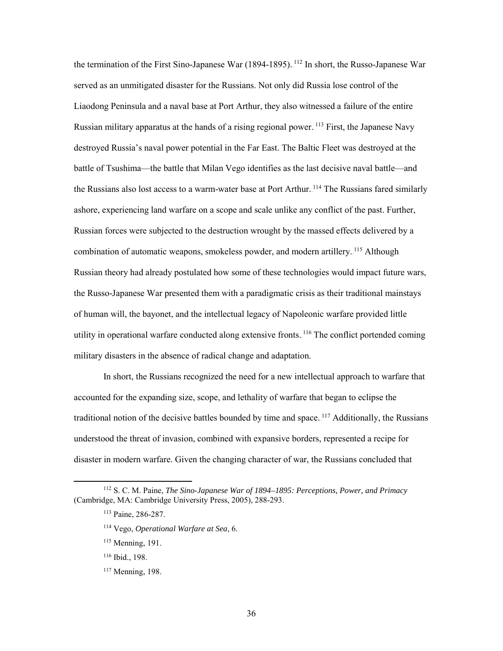the termination of the First Sino-Japanese War (1894-1895). <sup>112</sup> In short, the Russo-Japanese War served as an unmitigated disaster for the Russians. Not only did Russia lose control of the Liaodong Peninsula and a naval base at Port Arthur, they also witnessed a failure of the entire Russian military apparatus at the hands of a rising regional power. <sup>113</sup> First, the Japanese Navy destroyed Russia's naval power potential in the Far East. The Baltic Fleet was destroyed at the battle of Tsushima—the battle that Milan Vego identifies as the last decisive naval battle—and the Russians also lost access to a warm-water base at Port Arthur.<sup>114</sup> The Russians fared similarly ashore, experiencing land warfare on a scope and scale unlike any conflict of the past. Further, Russian forces were subjected to the destruction wrought by the massed effects delivered by a combination of automatic weapons, smokeless powder, and modern artillery. <sup>115</sup> Although Russian theory had already postulated how some of these technologies would impact future wars, the Russo-Japanese War presented them with a paradigmatic crisis as their traditional mainstays of human will, the bayonet, and the intellectual legacy of Napoleonic warfare provided little utility in operational warfare conducted along extensive fronts. <sup>116</sup> The conflict portended coming military disasters in the absence of radical change and adaptation.

In short, the Russians recognized the need for a new intellectual approach to warfare that accounted for the expanding size, scope, and lethality of warfare that began to eclipse the traditional notion of the decisive battles bounded by time and space.<sup>117</sup> Additionally, the Russians understood the threat of invasion, combined with expansive borders, represented a recipe for disaster in modern warfare. Given the changing character of war, the Russians concluded that

 <sup>112</sup> S. C. M. Paine, *The Sino-Japanese War of 1894–1895: Perceptions, Power, and Primacy* (Cambridge, MA: Cambridge University Press, 2005), 288-293.

<sup>113</sup> Paine, 286-287.

<sup>114</sup> Vego, *Operational Warfare at Sea*, 6.

<sup>&</sup>lt;sup>115</sup> Menning, 191.

<sup>116</sup> Ibid., 198.

<sup>&</sup>lt;sup>117</sup> Menning, 198.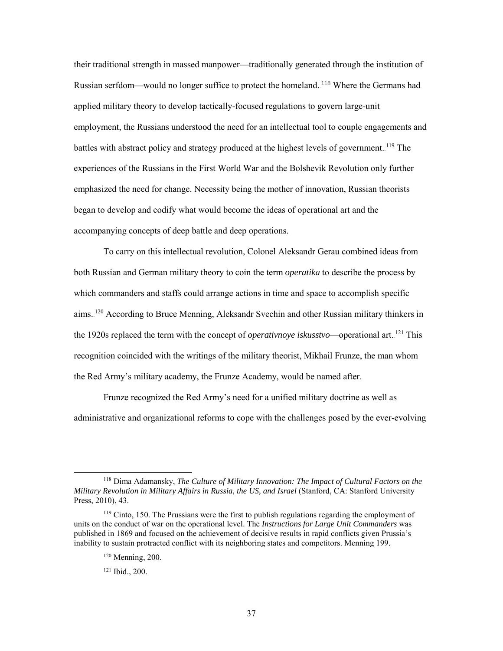their traditional strength in massed manpower—traditionally generated through the institution of Russian serfdom—would no longer suffice to protect the homeland.<sup>118</sup> Where the Germans had applied military theory to develop tactically-focused regulations to govern large-unit employment, the Russians understood the need for an intellectual tool to couple engagements and battles with abstract policy and strategy produced at the highest levels of government. <sup>119</sup> The experiences of the Russians in the First World War and the Bolshevik Revolution only further emphasized the need for change. Necessity being the mother of innovation, Russian theorists began to develop and codify what would become the ideas of operational art and the accompanying concepts of deep battle and deep operations.

To carry on this intellectual revolution, Colonel Aleksandr Gerau combined ideas from both Russian and German military theory to coin the term *operatika* to describe the process by which commanders and staffs could arrange actions in time and space to accomplish specific aims.<sup>120</sup> According to Bruce Menning, Aleksandr Svechin and other Russian military thinkers in the 1920s replaced the term with the concept of *operativnoye iskusstvo*—operational art.<sup>[21</sup>] This recognition coincided with the writings of the military theorist, Mikhail Frunze, the man whom the Red Army's military academy, the Frunze Academy, would be named after.

Frunze recognized the Red Army's need for a unified military doctrine as well as administrative and organizational reforms to cope with the challenges posed by the ever-evolving

 <sup>118</sup> Dima Adamansky, *The Culture of Military Innovation: The Impact of Cultural Factors on the Military Revolution in Military Affairs in Russia, the US, and Israel* (Stanford, CA: Stanford University Press, 2010), 43.

<sup>&</sup>lt;sup>119</sup> Cinto, 150. The Prussians were the first to publish regulations regarding the employment of units on the conduct of war on the operational level. The *Instructions for Large Unit Commanders* was published in 1869 and focused on the achievement of decisive results in rapid conflicts given Prussia's inability to sustain protracted conflict with its neighboring states and competitors. Menning 199.

<sup>120</sup> Menning, 200.

<sup>121</sup> Ibid., 200.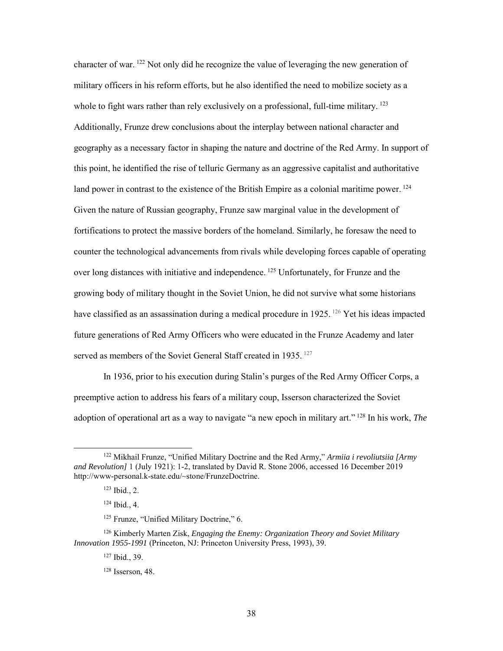character of war.<sup>122</sup> Not only did he recognize the value of leveraging the new generation of military officers in his reform efforts, but he also identified the need to mobilize society as a whole to fight wars rather than rely exclusively on a professional, full-time military.<sup>123</sup> Additionally, Frunze drew conclusions about the interplay between national character and geography as a necessary factor in shaping the nature and doctrine of the Red Army. In support of this point, he identified the rise of telluric Germany as an aggressive capitalist and authoritative land power in contrast to the existence of the British Empire as a colonial maritime power.<sup>124</sup> Given the nature of Russian geography, Frunze saw marginal value in the development of fortifications to protect the massive borders of the homeland. Similarly, he foresaw the need to counter the technological advancements from rivals while developing forces capable of operating over long distances with initiative and independence.<sup>125</sup> Unfortunately, for Frunze and the growing body of military thought in the Soviet Union, he did not survive what some historians have classified as an assassination during a medical procedure in 1925. <sup>126</sup> Yet his ideas impacted future generations of Red Army Officers who were educated in the Frunze Academy and later served as members of the Soviet General Staff created in 1935.<sup>127</sup>

In 1936, prior to his execution during Stalin's purges of the Red Army Officer Corps, a preemptive action to address his fears of a military coup, Isserson characterized the Soviet adoption of operational art as a way to navigate "a new epoch in military art."<sup>128</sup> In his work, *The* 

 <sup>122</sup> Mikhail Frunze, "Unified Military Doctrine and the Red Army," *Armiia i revoliutsiia [Army and Revolution]* 1 (July 1921): 1-2, translated by David R. Stone 2006, accessed 16 December 2019 http://www-personal.k-state.edu/~stone/FrunzeDoctrine.

<sup>123</sup> Ibid., 2.

<sup>124</sup> Ibid., 4.

<sup>&</sup>lt;sup>125</sup> Frunze, "Unified Military Doctrine," 6.

<sup>126</sup> Kimberly Marten Zisk, *Engaging the Enemy: Organization Theory and Soviet Military Innovation 1955-1991* (Princeton, NJ: Princeton University Press, 1993), 39.

<sup>127</sup> Ibid., 39.

<sup>128</sup> Isserson, 48.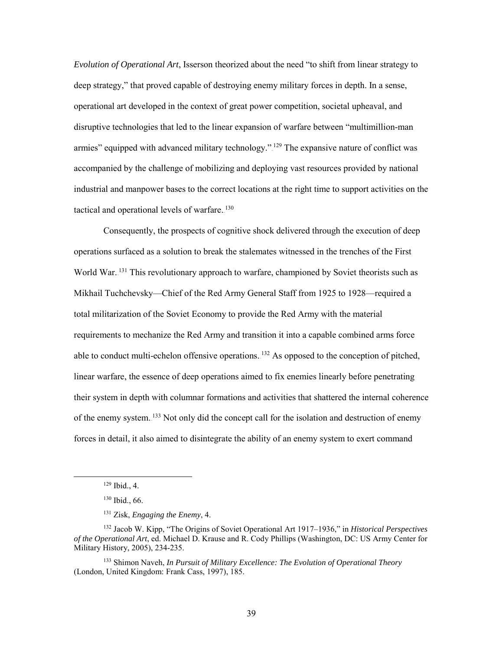*Evolution of Operational Art*, Isserson theorized about the need "to shift from linear strategy to deep strategy," that proved capable of destroying enemy military forces in depth. In a sense, operational art developed in the context of great power competition, societal upheaval, and disruptive technologies that led to the linear expansion of warfare between "multimillion-man armies" equipped with advanced military technology."<sup>129</sup> The expansive nature of conflict was accompanied by the challenge of mobilizing and deploying vast resources provided by national industrial and manpower bases to the correct locations at the right time to support activities on the tactical and operational levels of warfare. 130

Consequently, the prospects of cognitive shock delivered through the execution of deep operations surfaced as a solution to break the stalemates witnessed in the trenches of the First World War.<sup>131</sup> This revolutionary approach to warfare, championed by Soviet theorists such as Mikhail Tuchchevsky—Chief of the Red Army General Staff from 1925 to 1928—required a total militarization of the Soviet Economy to provide the Red Army with the material requirements to mechanize the Red Army and transition it into a capable combined arms force able to conduct multi-echelon offensive operations.  $132$  As opposed to the conception of pitched, linear warfare, the essence of deep operations aimed to fix enemies linearly before penetrating their system in depth with columnar formations and activities that shattered the internal coherence of the enemy system.<sup>133</sup> Not only did the concept call for the isolation and destruction of enemy forces in detail, it also aimed to disintegrate the ability of an enemy system to exert command

 <sup>129</sup> Ibid., 4.

<sup>130</sup> Ibid., 66.

<sup>131</sup> Zisk, *Engaging the Enemy*, 4.

<sup>132</sup> Jacob W. Kipp, "The Origins of Soviet Operational Art 1917–1936," in *Historical Perspectives of the Operational Art*, ed. Michael D. Krause and R. Cody Phillips (Washington, DC: US Army Center for Military History, 2005), 234-235.

<sup>133</sup> Shimon Naveh, *In Pursuit of Military Excellence: The Evolution of Operational Theory* (London, United Kingdom: Frank Cass, 1997), 185.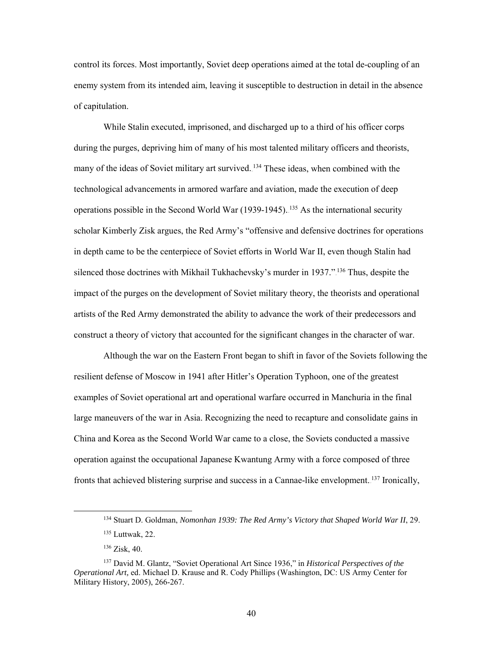control its forces. Most importantly, Soviet deep operations aimed at the total de-coupling of an enemy system from its intended aim, leaving it susceptible to destruction in detail in the absence of capitulation.

While Stalin executed, imprisoned, and discharged up to a third of his officer corps during the purges, depriving him of many of his most talented military officers and theorists, many of the ideas of Soviet military art survived.<sup>134</sup> These ideas, when combined with the technological advancements in armored warfare and aviation, made the execution of deep operations possible in the Second World War  $(1939-1945)$ . <sup>135</sup> As the international security scholar Kimberly Zisk argues, the Red Army's "offensive and defensive doctrines for operations in depth came to be the centerpiece of Soviet efforts in World War II, even though Stalin had silenced those doctrines with Mikhail Tukhachevsky's murder in 1937."<sup>136</sup> Thus, despite the impact of the purges on the development of Soviet military theory, the theorists and operational artists of the Red Army demonstrated the ability to advance the work of their predecessors and construct a theory of victory that accounted for the significant changes in the character of war.

Although the war on the Eastern Front began to shift in favor of the Soviets following the resilient defense of Moscow in 1941 after Hitler's Operation Typhoon, one of the greatest examples of Soviet operational art and operational warfare occurred in Manchuria in the final large maneuvers of the war in Asia. Recognizing the need to recapture and consolidate gains in China and Korea as the Second World War came to a close, the Soviets conducted a massive operation against the occupational Japanese Kwantung Army with a force composed of three fronts that achieved blistering surprise and success in a Cannae-like envelopment.<sup>137</sup> Ironically,

<sup>&</sup>lt;sup>134</sup> Stuart D. Goldman, *Nomonhan 1939: The Red Army's Victory that Shaped World War II*, 29.

<sup>135</sup> Luttwak, 22.

<sup>136</sup> Zisk, 40.

<sup>137</sup> David M. Glantz, "Soviet Operational Art Since 1936," in *Historical Perspectives of the Operational Art,* ed. Michael D. Krause and R. Cody Phillips (Washington, DC: US Army Center for Military History, 2005), 266-267.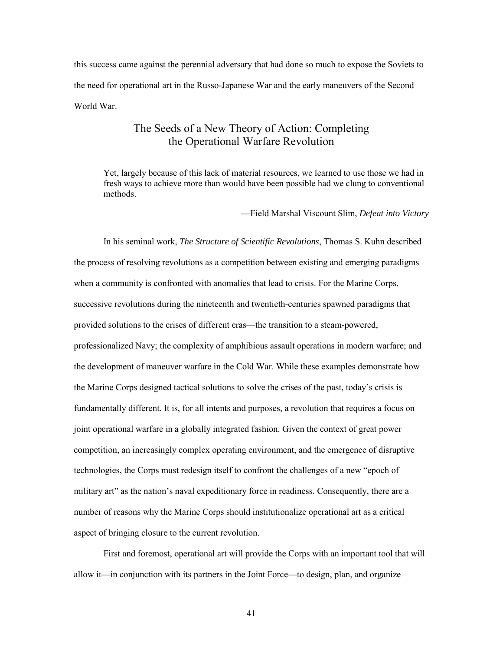this success came against the perennial adversary that had done so much to expose the Soviets to the need for operational art in the Russo-Japanese War and the early maneuvers of the Second World War.

# The Seeds of a New Theory of Action: Completing the Operational Warfare Revolution

<span id="page-50-0"></span>Yet, largely because of this lack of material resources, we learned to use those we had in fresh ways to achieve more than would have been possible had we clung to conventional methods.

—Field Marshal Viscount Slim, *Defeat into Victory*

In his seminal work, *The Structure of Scientific Revolutions*, Thomas S. Kuhn described the process of resolving revolutions as a competition between existing and emerging paradigms when a community is confronted with anomalies that lead to crisis. For the Marine Corps, successive revolutions during the nineteenth and twentieth-centuries spawned paradigms that provided solutions to the crises of different eras—the transition to a steam-powered, professionalized Navy; the complexity of amphibious assault operations in modern warfare; and the development of maneuver warfare in the Cold War. While these examples demonstrate how the Marine Corps designed tactical solutions to solve the crises of the past, today's crisis is fundamentally different. It is, for all intents and purposes, a revolution that requires a focus on joint operational warfare in a globally integrated fashion. Given the context of great power competition, an increasingly complex operating environment, and the emergence of disruptive technologies, the Corps must redesign itself to confront the challenges of a new "epoch of military art" as the nation's naval expeditionary force in readiness. Consequently, there are a number of reasons why the Marine Corps should institutionalize operational art as a critical aspect of bringing closure to the current revolution.

First and foremost, operational art will provide the Corps with an important tool that will allow it—in conjunction with its partners in the Joint Force—to design, plan, and organize

41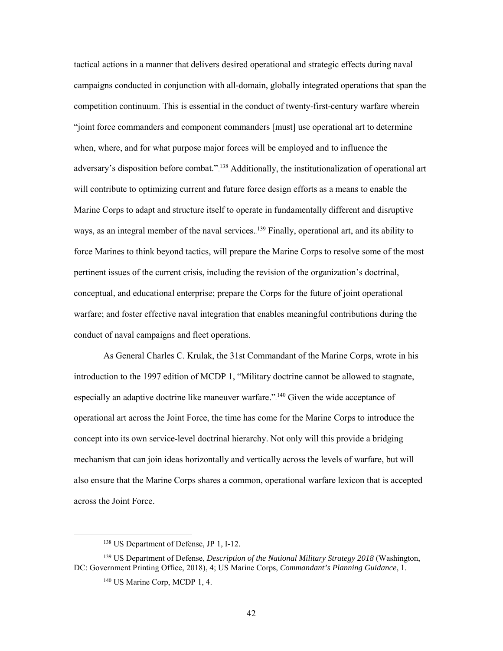tactical actions in a manner that delivers desired operational and strategic effects during naval campaigns conducted in conjunction with all-domain, globally integrated operations that span the competition continuum. This is essential in the conduct of twenty-first-century warfare wherein "joint force commanders and component commanders [must] use operational art to determine when, where, and for what purpose major forces will be employed and to influence the adversary's disposition before combat." <sup>138</sup> Additionally, the institutionalization of operational art will contribute to optimizing current and future force design efforts as a means to enable the Marine Corps to adapt and structure itself to operate in fundamentally different and disruptive ways, as an integral member of the naval services. <sup>139</sup> Finally, operational art, and its ability to force Marines to think beyond tactics, will prepare the Marine Corps to resolve some of the most pertinent issues of the current crisis, including the revision of the organization's doctrinal, conceptual, and educational enterprise; prepare the Corps for the future of joint operational warfare; and foster effective naval integration that enables meaningful contributions during the conduct of naval campaigns and fleet operations.

As General Charles C. Krulak, the 31st Commandant of the Marine Corps, wrote in his introduction to the 1997 edition of MCDP 1, "Military doctrine cannot be allowed to stagnate, especially an adaptive doctrine like maneuver warfare."<sup>140</sup> Given the wide acceptance of operational art across the Joint Force, the time has come for the Marine Corps to introduce the concept into its own service-level doctrinal hierarchy. Not only will this provide a bridging mechanism that can join ideas horizontally and vertically across the levels of warfare, but will also ensure that the Marine Corps shares a common, operational warfare lexicon that is accepted across the Joint Force.

 <sup>138</sup> US Department of Defense, JP 1, I-12.

<sup>139</sup> US Department of Defense, *Description of the National Military Strategy 2018* (Washington, DC: Government Printing Office, 2018), 4; US Marine Corps, *Commandant's Planning Guidance*, 1.

<sup>140</sup> US Marine Corp, MCDP 1, 4.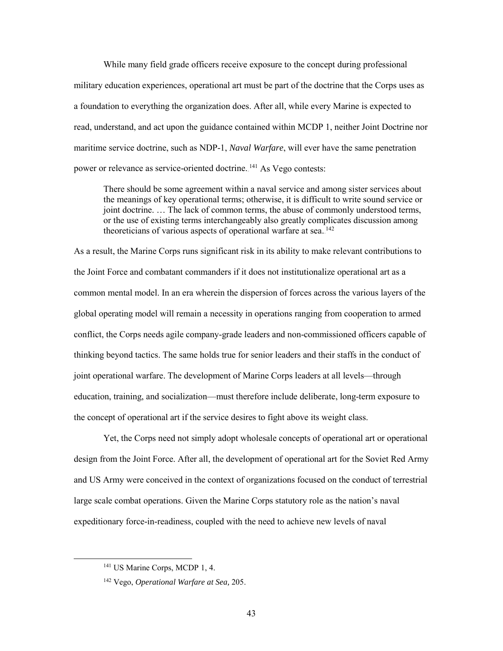While many field grade officers receive exposure to the concept during professional military education experiences, operational art must be part of the doctrine that the Corps uses as a foundation to everything the organization does. After all, while every Marine is expected to read, understand, and act upon the guidance contained within MCDP 1, neither Joint Doctrine nor maritime service doctrine, such as NDP-1, *Naval Warfare*, will ever have the same penetration power or relevance as service-oriented doctrine.<sup>141</sup> As Vego contests:

There should be some agreement within a naval service and among sister services about the meanings of key operational terms; otherwise, it is difficult to write sound service or joint doctrine. … The lack of common terms, the abuse of commonly understood terms, or the use of existing terms interchangeably also greatly complicates discussion among theoreticians of various aspects of operational warfare at sea.<sup>142</sup>

As a result, the Marine Corps runs significant risk in its ability to make relevant contributions to the Joint Force and combatant commanders if it does not institutionalize operational art as a common mental model. In an era wherein the dispersion of forces across the various layers of the global operating model will remain a necessity in operations ranging from cooperation to armed conflict, the Corps needs agile company-grade leaders and non-commissioned officers capable of thinking beyond tactics. The same holds true for senior leaders and their staffs in the conduct of joint operational warfare. The development of Marine Corps leaders at all levels—through education, training, and socialization—must therefore include deliberate, long-term exposure to the concept of operational art if the service desires to fight above its weight class.

Yet, the Corps need not simply adopt wholesale concepts of operational art or operational design from the Joint Force. After all, the development of operational art for the Soviet Red Army and US Army were conceived in the context of organizations focused on the conduct of terrestrial large scale combat operations. Given the Marine Corps statutory role as the nation's naval expeditionary force-in-readiness, coupled with the need to achieve new levels of naval

 <sup>141</sup> US Marine Corps, MCDP 1, 4.

<sup>142</sup> Vego, *Operational Warfare at Sea,* 205.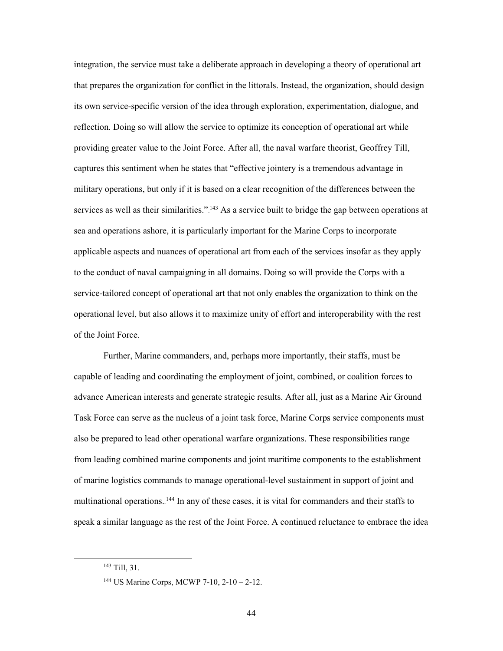integration, the service must take a deliberate approach in developing a theory of operational art that prepares the organization for conflict in the littorals. Instead, the organization, should design its own service-specific version of the idea through exploration, experimentation, dialogue, and reflection. Doing so will allow the service to optimize its conception of operational art while providing greater value to the Joint Force. After all, the naval warfare theorist, Geoffrey Till, captures this sentiment when he states that "effective jointery is a tremendous advantage in military operations, but only if it is based on a clear recognition of the differences between the services as well as their similarities." $143$  As a service built to bridge the gap between operations at sea and operations ashore, it is particularly important for the Marine Corps to incorporate applicable aspects and nuances of operational art from each of the services insofar as they apply to the conduct of naval campaigning in all domains. Doing so will provide the Corps with a service-tailored concept of operational art that not only enables the organization to think on the operational level, but also allows it to maximize unity of effort and interoperability with the rest of the Joint Force.

Further, Marine commanders, and, perhaps more importantly, their staffs, must be capable of leading and coordinating the employment of joint, combined, or coalition forces to advance American interests and generate strategic results. After all, just as a Marine Air Ground Task Force can serve as the nucleus of a joint task force, Marine Corps service components must also be prepared to lead other operational warfare organizations. These responsibilities range from leading combined marine components and joint maritime components to the establishment of marine logistics commands to manage operational-level sustainment in support of joint and multinational operations. <sup>144</sup> In any of these cases, it is vital for commanders and their staffs to speak a similar language as the rest of the Joint Force. A continued reluctance to embrace the idea

 <sup>143</sup> Till, 31.

<sup>144</sup> US Marine Corps, MCWP 7-10, 2-10 – 2-12.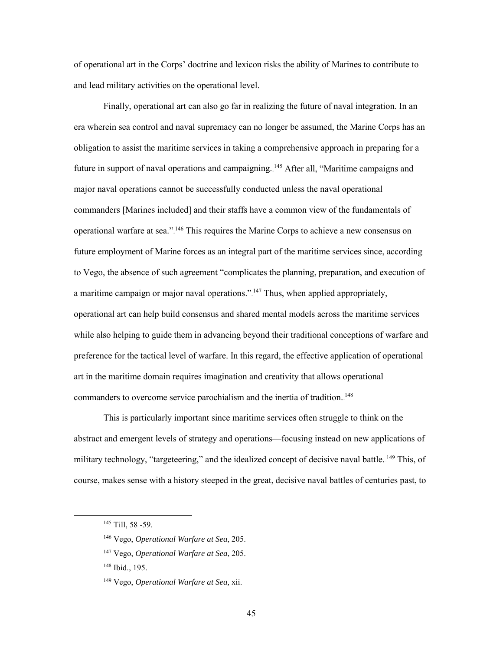of operational art in the Corps' doctrine and lexicon risks the ability of Marines to contribute to and lead military activities on the operational level.

Finally, operational art can also go far in realizing the future of naval integration. In an era wherein sea control and naval supremacy can no longer be assumed, the Marine Corps has an obligation to assist the maritime services in taking a comprehensive approach in preparing for a future in support of naval operations and campaigning. <sup>145</sup> After all, "Maritime campaigns and major naval operations cannot be successfully conducted unless the naval operational commanders [Marines included] and their staffs have a common view of the fundamentals of operational warfare at sea.".<sup>146</sup> This requires the Marine Corps to achieve a new consensus on future employment of Marine forces as an integral part of the maritime services since, according to Vego, the absence of such agreement "complicates the planning, preparation, and execution of a maritime campaign or major naval operations." $147$  Thus, when applied appropriately, operational art can help build consensus and shared mental models across the maritime services while also helping to guide them in advancing beyond their traditional conceptions of warfare and preference for the tactical level of warfare. In this regard, the effective application of operational art in the maritime domain requires imagination and creativity that allows operational commanders to overcome service parochialism and the inertia of tradition.<sup>148</sup>

This is particularly important since maritime services often struggle to think on the abstract and emergent levels of strategy and operations—focusing instead on new applications of military technology, "targeteering," and the idealized concept of decisive naval battle. <sup>149</sup> This, of course, makes sense with a history steeped in the great, decisive naval battles of centuries past, to

<sup>145</sup> Till, 58 -59.

<sup>146</sup> Vego, *Operational Warfare at Sea*, 205.

<sup>147</sup> Vego, *Operational Warfare at Sea*, 205.

<sup>148</sup> Ibid., 195.

<sup>149</sup> Vego, *Operational Warfare at Sea,* xii.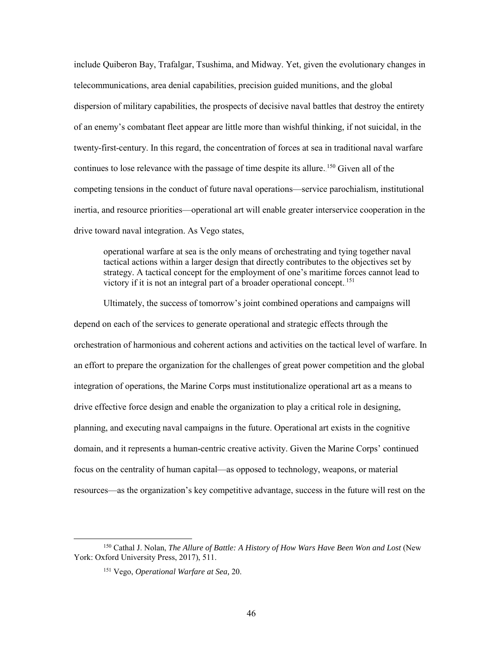include Quiberon Bay, Trafalgar, Tsushima, and Midway. Yet, given the evolutionary changes in telecommunications, area denial capabilities, precision guided munitions, and the global dispersion of military capabilities, the prospects of decisive naval battles that destroy the entirety of an enemy's combatant fleet appear are little more than wishful thinking, if not suicidal, in the twenty-first-century. In this regard, the concentration of forces at sea in traditional naval warfare continues to lose relevance with the passage of time despite its allure.<sup>150</sup> Given all of the competing tensions in the conduct of future naval operations—service parochialism, institutional inertia, and resource priorities—operational art will enable greater interservice cooperation in the drive toward naval integration. As Vego states,

operational warfare at sea is the only means of orchestrating and tying together naval tactical actions within a larger design that directly contributes to the objectives set by strategy. A tactical concept for the employment of one's maritime forces cannot lead to victory if it is not an integral part of a broader operational concept.<sup>151</sup>

Ultimately, the success of tomorrow's joint combined operations and campaigns will depend on each of the services to generate operational and strategic effects through the orchestration of harmonious and coherent actions and activities on the tactical level of warfare. In an effort to prepare the organization for the challenges of great power competition and the global integration of operations, the Marine Corps must institutionalize operational art as a means to drive effective force design and enable the organization to play a critical role in designing, planning, and executing naval campaigns in the future. Operational art exists in the cognitive domain, and it represents a human-centric creative activity. Given the Marine Corps' continued focus on the centrality of human capital—as opposed to technology, weapons, or material resources—as the organization's key competitive advantage, success in the future will rest on the

 <sup>150</sup> Cathal J. Nolan, *The Allure of Battle: A History of How Wars Have Been Won and Lost* (New York: Oxford University Press, 2017), 511.

<sup>151</sup> Vego, *Operational Warfare at Sea,* 20.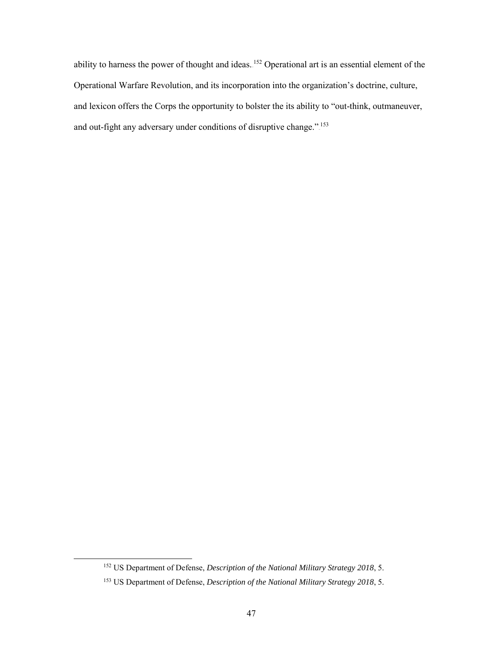ability to harness the power of thought and ideas. <sup>152</sup> Operational art is an essential element of the Operational Warfare Revolution, and its incorporation into the organization's doctrine, culture, and lexicon offers the Corps the opportunity to bolster the its ability to "out-think, outmaneuver, and out-fight any adversary under conditions of disruptive change."<sup>153</sup>

 <sup>152</sup> US Department of Defense, *Description of the National Military Strategy 2018*, 5.

<sup>153</sup> US Department of Defense, *Description of the National Military Strategy 2018*, 5.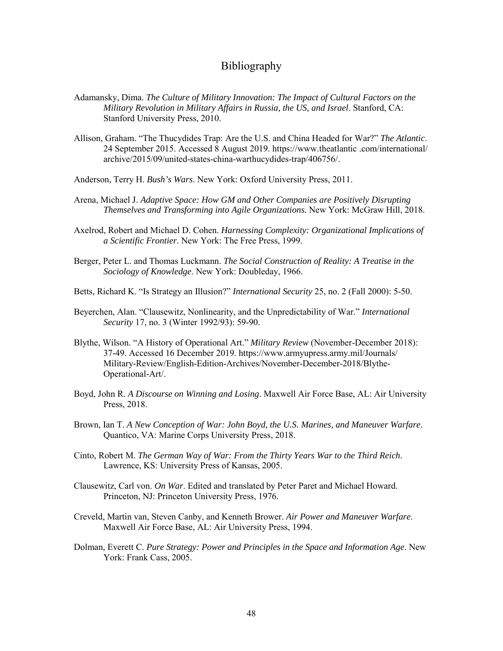### Bibliography

- <span id="page-57-0"></span>Adamansky, Dima. *The Culture of Military Innovation: The Impact of Cultural Factors on the Military Revolution in Military Affairs in Russia, the US, and Israel*. Stanford, CA: Stanford University Press, 2010.
- Allison, Graham. "The Thucydides Trap: Are the U.S. and China Headed for War?" *The Atlantic*. 24 September 2015. Accessed 8 August 2019. https://www.theatlantic .com/international/ archive/2015/09/united-states-china-warthucydides-trap/406756/.
- Anderson, Terry H. *Bush's Wars*. New York: Oxford University Press, 2011.
- Arena, Michael J. *Adaptive Space: How GM and Other Companies are Positively Disrupting Themselves and Transforming into Agile Organizations.* New York: McGraw Hill, 2018.
- Axelrod, Robert and Michael D. Cohen. *Harnessing Complexity: Organizational Implications of a Scientific Frontier*. New York: The Free Press, 1999.
- Berger, Peter L. and Thomas Luckmann. *The Social Construction of Reality: A Treatise in the Sociology of Knowledge*. New York: Doubleday, 1966.
- Betts, Richard K. "Is Strategy an Illusion?" *International Security* 25, no. 2 (Fall 2000): 5-50.
- Beyerchen, Alan. "Clausewitz, Nonlinearity, and the Unpredictability of War." *International Security* 17, no. 3 (Winter 1992/93): 59-90.
- Blythe, Wilson. "A History of Operational Art." *Military Review* (November-December 2018): 37-49. Accessed 16 December 2019. https://www.armyupress.army.mil/Journals/ Military-Review/English-Edition-Archives/November-December-2018/Blythe-Operational-Art/.
- Boyd, John R. *A Discourse on Winning and Losing*. Maxwell Air Force Base, AL: Air University Press, 2018.
- Brown, Ian T. *A New Conception of War: John Boyd, the U.S. Marines, and Maneuver Warfare*. Quantico, VA: Marine Corps University Press, 2018.
- Cinto, Robert M. *The German Way of War: From the Thirty Years War to the Third Reich*. Lawrence, KS: University Press of Kansas, 2005.
- Clausewitz, Carl von. *On War*. Edited and translated by Peter Paret and Michael Howard. Princeton, NJ: Princeton University Press, 1976.
- Creveld, Martin van, Steven Canby, and Kenneth Brower. *Air Power and Maneuver Warfare*. Maxwell Air Force Base, AL: Air University Press, 1994.
- Dolman, Everett C. *Pure Strategy: Power and Principles in the Space and Information Age*. New York: Frank Cass, 2005.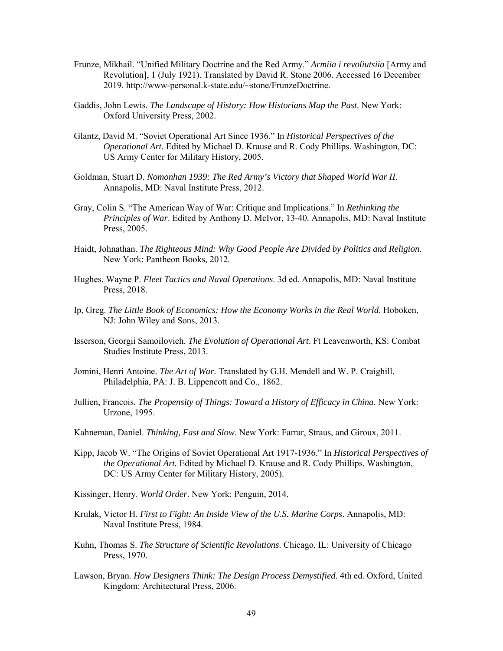- Frunze, Mikhail. "Unified Military Doctrine and the Red Army." *Armiia i revoliutsiia* [Army and Revolution], 1 (July 1921). Translated by David R. Stone 2006. Accessed 16 December 2019. http://www-personal.k-state.edu/~stone/FrunzeDoctrine.
- Gaddis, John Lewis. *The Landscape of History: How Historians Map the Past*. New York: Oxford University Press, 2002.
- Glantz, David M. "Soviet Operational Art Since 1936." In *Historical Perspectives of the Operational Art.* Edited by Michael D. Krause and R. Cody Phillips. Washington, DC: US Army Center for Military History, 2005.
- Goldman, Stuart D. *Nomonhan 1939: The Red Army's Victory that Shaped World War II*. Annapolis, MD: Naval Institute Press, 2012.
- Gray, Colin S. "The American Way of War: Critique and Implications." In *Rethinking the Principles of War*. Edited by Anthony D. McIvor, 13-40. Annapolis, MD: Naval Institute Press, 2005.
- Haidt, Johnathan. *The Righteous Mind: Why Good People Are Divided by Politics and Religion*. New York: Pantheon Books, 2012.
- Hughes, Wayne P. *Fleet Tactics and Naval Operations*. 3d ed. Annapolis, MD: Naval Institute Press, 2018.
- Ip, Greg. *The Little Book of Economics: How the Economy Works in the Real World*. Hoboken, NJ: John Wiley and Sons, 2013.
- Isserson, Georgii Samoilovich. *The Evolution of Operational Art*. Ft Leavenworth, KS: Combat Studies Institute Press, 2013.
- Jomini, Henri Antoine. *The Art of War*. Translated by G.H. Mendell and W. P. Craighill. Philadelphia, PA: J. B. Lippencott and Co., 1862.
- Jullien, Francois. *The Propensity of Things: Toward a History of Efficacy in China*. New York: Urzone, 1995.
- Kahneman, Daniel. *Thinking, Fast and Slow*. New York: Farrar, Straus, and Giroux, 2011.
- Kipp, Jacob W. "The Origins of Soviet Operational Art 1917-1936." In *Historical Perspectives of the Operational Art.* Edited by Michael D. Krause and R. Cody Phillips. Washington, DC: US Army Center for Military History, 2005).
- Kissinger, Henry. *World Order*. New York: Penguin, 2014.
- Krulak, Victor H. *First to Fight: An Inside View of the U.S. Marine Corps*. Annapolis, MD: Naval Institute Press, 1984.
- Kuhn, Thomas S. *The Structure of Scientific Revolutions*. Chicago, IL: University of Chicago Press, 1970.
- Lawson, Bryan. *How Designers Think: The Design Process Demystified*. 4th ed. Oxford, United Kingdom: Architectural Press, 2006.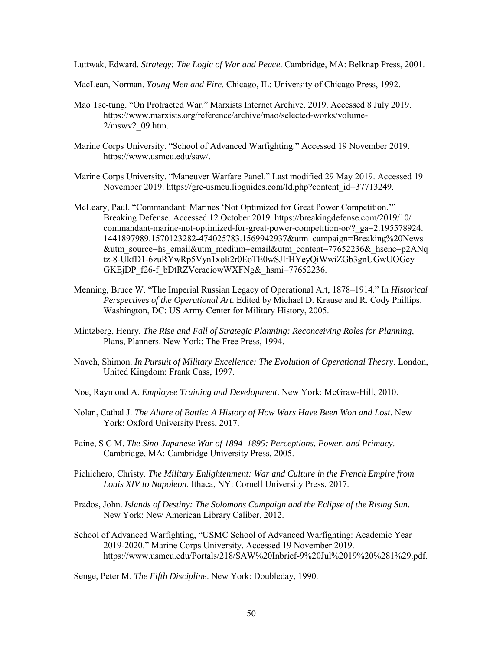Luttwak, Edward. *Strategy: The Logic of War and Peace*. Cambridge, MA: Belknap Press, 2001.

MacLean, Norman. *Young Men and Fire*. Chicago, IL: University of Chicago Press, 1992.

- Mao Tse-tung. "On Protracted War." Marxists Internet Archive. 2019. Accessed 8 July 2019. https://www.marxists.org/reference/archive/mao/selected-works/volume-2/mswv2\_09.htm.
- Marine Corps University. "School of Advanced Warfighting." Accessed 19 November 2019. [https://www.usmcu.edu/saw/.](https://www.usmcu.edu/saw/)
- Marine Corps University. "Maneuver Warfare Panel." Last modified 29 May 2019. Accessed 19 November 2019. https://grc-usmcu.libguides.com/ld.php?content\_id=37713249.
- McLeary, Paul. "Commandant: Marines 'Not Optimized for Great Power Competition.'" Breaking Defense. Accessed 12 October 2019. https://breakingdefense.com/2019/10/ commandant-marine-not-optimized-for-great-power-competition-or/?\_ga=2.195578924. 1441897989.1570123282-474025783.1569942937&utm\_campaign=Breaking%20News &utm\_source=hs\_email&utm\_medium=email&utm\_content=77652236&\_hsenc=p2ANq tz-8-UkfD1-6zuRYwRp5Vyn1xoli2r0EoTE0wSJIfHYeyQiWwiZGb3gnUGwUOGcy GKEjDP\_f26-f\_bDtRZVeraciowWXFNg&\_hsmi=77652236.
- Menning, Bruce W. "The Imperial Russian Legacy of Operational Art, 1878–1914." In *Historical Perspectives of the Operational Art*. Edited by Michael D. Krause and R. Cody Phillips. Washington, DC: US Army Center for Military History, 2005.
- Mintzberg, Henry. *The Rise and Fall of Strategic Planning: Reconceiving Roles for Planning*, Plans, Planners. New York: The Free Press, 1994.
- Naveh, Shimon. *In Pursuit of Military Excellence: The Evolution of Operational Theory*. London, United Kingdom: Frank Cass, 1997.
- Noe, Raymond A. *Employee Training and Development*. New York: McGraw-Hill, 2010.
- Nolan, Cathal J. *The Allure of Battle: A History of How Wars Have Been Won and Lost*. New York: Oxford University Press, 2017.
- Paine, S C M. *The Sino-Japanese War of 1894–1895: Perceptions, Power, and Primacy*. Cambridge, MA: Cambridge University Press, 2005.
- Pichichero, Christy. *The Military Enlightenment: War and Culture in the French Empire from Louis XIV to Napoleon*. Ithaca, NY: Cornell University Press, 2017.
- Prados, John. *Islands of Destiny: The Solomons Campaign and the Eclipse of the Rising Sun*. New York: New American Library Caliber, 2012.
- School of Advanced Warfighting, "USMC School of Advanced Warfighting: Academic Year 2019-2020." Marine Corps University. Accessed 19 November 2019. https://www.usmcu.edu/Portals/218/SAW%20Inbrief-9%20Jul%2019%20%281%29.pdf.

Senge, Peter M. *The Fifth Discipline*. New York: Doubleday, 1990.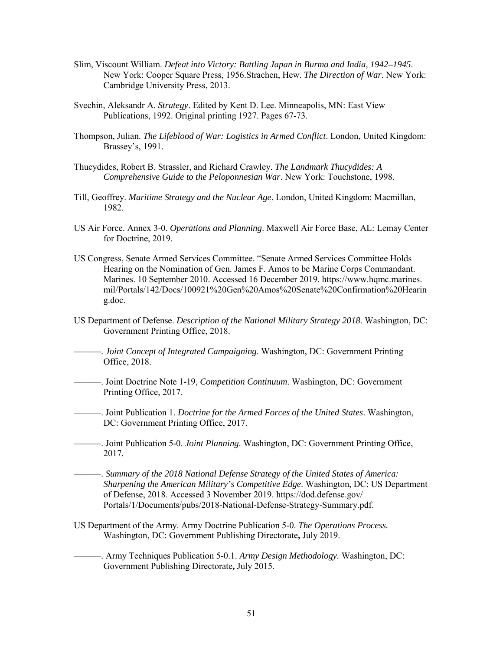- Slim, Viscount William. *Defeat into Victory: Battling Japan in Burma and India, 1942–1945*. New York: Cooper Square Press, 1956.Strachen, Hew. *The Direction of War*. New York: Cambridge University Press, 2013.
- Svechin, Aleksandr A. *Strategy*. Edited by Kent D. Lee. Minneapolis, MN: East View Publications, 1992. Original printing 1927. Pages 67-73.
- Thompson, Julian. *The Lifeblood of War: Logistics in Armed Conflict*. London, United Kingdom: Brassey's, 1991.
- Thucydides, Robert B. Strassler, and Richard Crawley. *The Landmark Thucydides: A Comprehensive Guide to the Peloponnesian War*. New York: Touchstone, 1998.
- Till, Geoffrey. *Maritime Strategy and the Nuclear Age*. London, United Kingdom: Macmillan, 1982.
- US Air Force. Annex 3-0. *Operations and Planning*. Maxwell Air Force Base, AL: Lemay Center for Doctrine, 2019.
- US Congress, Senate Armed Services Committee. "Senate Armed Services Committee Holds Hearing on the Nomination of Gen. James F. Amos to be Marine Corps Commandant. Marines. 10 September 2010. Accessed 16 December 2019. https://www.hqmc.marines. mil/Portals/142/Docs/100921%20Gen%20Amos%20Senate%20Confirmation%20Hearin g.doc.
- US Department of Defense. *Description of the National Military Strategy 2018*. Washington, DC: Government Printing Office, 2018.
	- ———. *Joint Concept of Integrated Campaigning*. Washington, DC: Government Printing Office, 2018.
- ———. Joint Doctrine Note 1-19, *Competition Continuum*. Washington, DC: Government Printing Office, 2017.
- ———. Joint Publication 1. *Doctrine for the Armed Forces of the United States*. Washington, DC: Government Printing Office, 2017.

———. Joint Publication 5-0. *Joint Planning*. Washington, DC: Government Printing Office, 2017.

- ———. *Summary of the 2018 National Defense Strategy of the United States of America: Sharpening the American Military's Competitive Edge*. Washington, DC: US Department of Defense, 2018. Accessed 3 November 2019. https://dod.defense.gov/ Portals/1/Documents/pubs/2018-National-Defense-Strategy-Summary.pdf.
- US Department of the Army. Army Doctrine Publication 5-0. *The Operations Process.* Washington, DC: Government Publishing Directorate**,** July 2019.
- ———. Army Techniques Publication 5-0.1. *Army Design Methodology.* Washington, DC: Government Publishing Directorate**,** July 2015.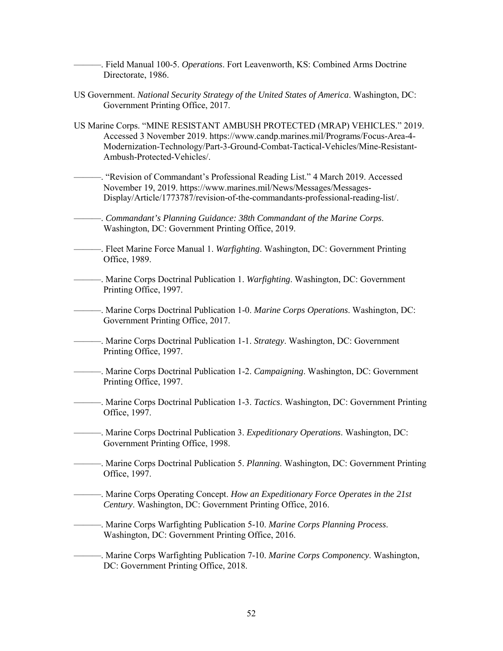- ———. Field Manual 100-5. *Operations*. Fort Leavenworth, KS: Combined Arms Doctrine Directorate, 1986.
- US Government. *National Security Strategy of the United States of America*. Washington, DC: Government Printing Office, 2017.
- US Marine Corps. "MINE RESISTANT AMBUSH PROTECTED (MRAP) VEHICLES." 2019. Accessed 3 November 2019. https://www.candp.marines.mil/Programs/Focus-Area-4- Modernization-Technology/Part-3-Ground-Combat-Tactical-Vehicles/Mine-Resistant-Ambush-Protected-Vehicles/.
	- ———. "Revision of Commandant's Professional Reading List." 4 March 2019. Accessed November 19, 2019. https://www.marines.mil/News/Messages/Messages-Display/Article/1773787/revision-of-the-commandants-professional-reading-list/.
- ———. *Commandant's Planning Guidance: 38th Commandant of the Marine Corps*. Washington, DC: Government Printing Office, 2019.
- ———. Fleet Marine Force Manual 1. *Warfighting*. Washington, DC: Government Printing Office, 1989.
- ———. Marine Corps Doctrinal Publication 1. *Warfighting*. Washington, DC: Government Printing Office, 1997.
- ———. Marine Corps Doctrinal Publication 1-0. *Marine Corps Operations*. Washington, DC: Government Printing Office, 2017.
- ———. Marine Corps Doctrinal Publication 1-1. *Strategy*. Washington, DC: Government Printing Office, 1997.
- ———. Marine Corps Doctrinal Publication 1-2. *Campaigning*. Washington, DC: Government Printing Office, 1997.
- ———. Marine Corps Doctrinal Publication 1-3. *Tactics*. Washington, DC: Government Printing Office, 1997.
	- ———. Marine Corps Doctrinal Publication 3. *Expeditionary Operations*. Washington, DC: Government Printing Office, 1998.
- ———. Marine Corps Doctrinal Publication 5. *Planning*. Washington, DC: Government Printing Office, 1997.
- ———. Marine Corps Operating Concept. *How an Expeditionary Force Operates in the 21st Century*. Washington, DC: Government Printing Office, 2016.
- ———. Marine Corps Warfighting Publication 5-10. *Marine Corps Planning Process*. Washington, DC: Government Printing Office, 2016.
- ———. Marine Corps Warfighting Publication 7-10. *Marine Corps Componency*. Washington, DC: Government Printing Office, 2018.